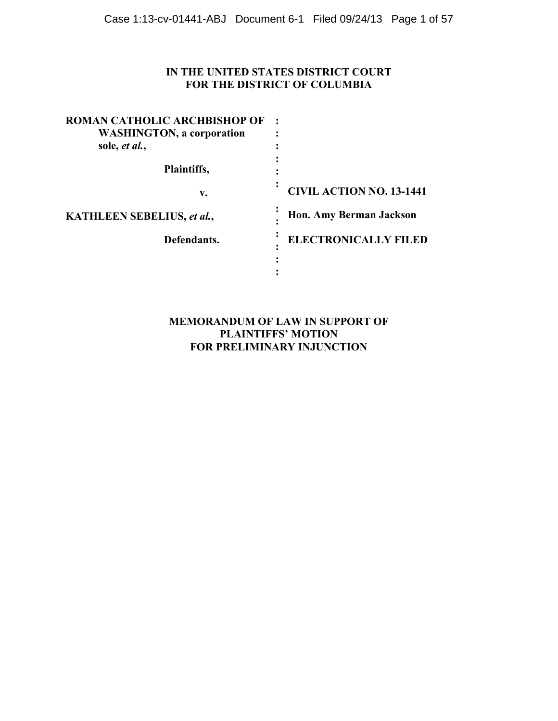# **IN THE UNITED STATES DISTRICT COURT FOR THE DISTRICT OF COLUMBIA**

| ROMAN CATHOLIC ARCHBISHOP OF     |                                 |
|----------------------------------|---------------------------------|
| <b>WASHINGTON, a corporation</b> |                                 |
| sole, et al.,                    |                                 |
|                                  |                                 |
| Plaintiffs,                      |                                 |
| v.                               | <b>CIVIL ACTION NO. 13-1441</b> |
| KATHLEEN SEBELIUS, et al.,       | <b>Hon. Amy Berman Jackson</b>  |
| Defendants.                      | <b>ELECTRONICALLY FILED</b>     |
|                                  |                                 |
|                                  |                                 |

# **MEMORANDUM OF LAW IN SUPPORT OF PLAINTIFFS' MOTION FOR PRELIMINARY INJUNCTION**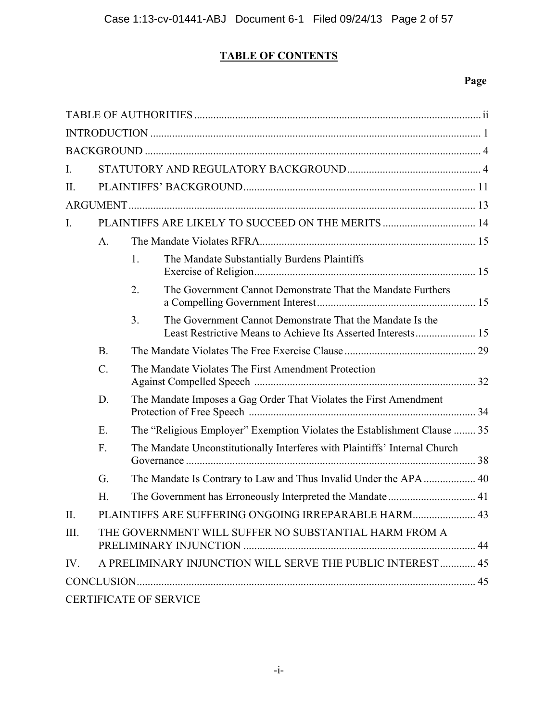# **TABLE OF CONTENTS**

# **Page**

| I.             |                                                       |                                                     |                                                                                                                           |  |
|----------------|-------------------------------------------------------|-----------------------------------------------------|---------------------------------------------------------------------------------------------------------------------------|--|
| II.            |                                                       |                                                     |                                                                                                                           |  |
|                |                                                       |                                                     |                                                                                                                           |  |
| $\mathbf{I}$ . |                                                       |                                                     |                                                                                                                           |  |
|                | $A_{\cdot}$                                           |                                                     |                                                                                                                           |  |
|                |                                                       | 1.                                                  | The Mandate Substantially Burdens Plaintiffs                                                                              |  |
|                |                                                       | 2.                                                  | The Government Cannot Demonstrate That the Mandate Furthers                                                               |  |
|                |                                                       | 3 <sub>1</sub>                                      | The Government Cannot Demonstrate That the Mandate Is the<br>Least Restrictive Means to Achieve Its Asserted Interests 15 |  |
|                | <b>B.</b>                                             |                                                     |                                                                                                                           |  |
|                | $\mathcal{C}$ .                                       | The Mandate Violates The First Amendment Protection |                                                                                                                           |  |
|                | D.                                                    |                                                     | The Mandate Imposes a Gag Order That Violates the First Amendment                                                         |  |
|                | E.                                                    |                                                     | The "Religious Employer" Exemption Violates the Establishment Clause  35                                                  |  |
|                | F.                                                    |                                                     | The Mandate Unconstitutionally Interferes with Plaintiffs' Internal Church                                                |  |
|                | G.                                                    |                                                     |                                                                                                                           |  |
|                | Н.                                                    |                                                     |                                                                                                                           |  |
| Π.             |                                                       |                                                     | PLAINTIFFS ARE SUFFERING ONGOING IRREPARABLE HARM 43                                                                      |  |
| III.           | THE GOVERNMENT WILL SUFFER NO SUBSTANTIAL HARM FROM A |                                                     |                                                                                                                           |  |
| IV.            |                                                       |                                                     | A PRELIMINARY INJUNCTION WILL SERVE THE PUBLIC INTEREST  45                                                               |  |
|                |                                                       |                                                     |                                                                                                                           |  |
|                |                                                       |                                                     | <b>CERTIFICATE OF SERVICE</b>                                                                                             |  |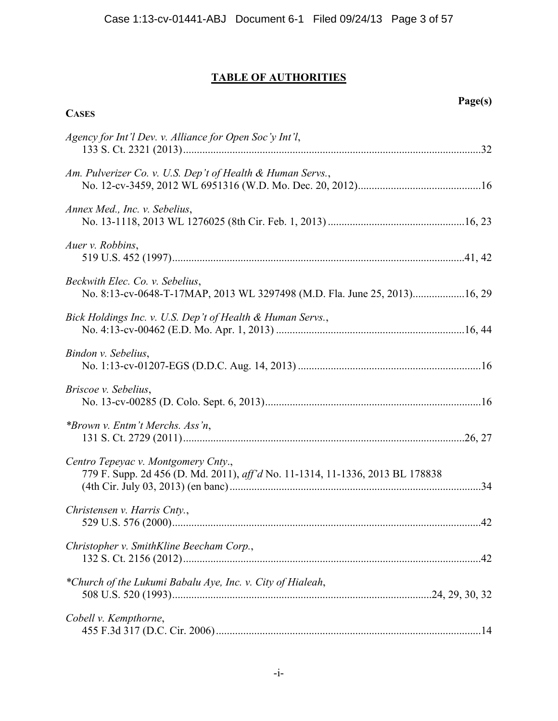**CASES**

| Agency for Int'l Dev. v. Alliance for Open Soc'y Int'l,                                                              |
|----------------------------------------------------------------------------------------------------------------------|
| Am. Pulverizer Co. v. U.S. Dep't of Health & Human Servs.,                                                           |
| Annex Med., Inc. v. Sebelius,                                                                                        |
| Auer v. Robbins,                                                                                                     |
| Beckwith Elec. Co. v. Sebelius,<br>No. 8:13-cv-0648-T-17MAP, 2013 WL 3297498 (M.D. Fla. June 25, 2013)16, 29         |
| Bick Holdings Inc. v. U.S. Dep't of Health & Human Servs.,                                                           |
| Bindon v. Sebelius,                                                                                                  |
| <i>Briscoe v. Sebelius,</i>                                                                                          |
| *Brown v. Entm't Merchs. Ass'n,                                                                                      |
| Centro Tepeyac v. Montgomery Cnty.,<br>779 F. Supp. 2d 456 (D. Md. 2011), aff'd No. 11-1314, 11-1336, 2013 BL 178838 |
| Christensen v. Harris Cnty.,                                                                                         |
| Christopher v. SmithKline Beecham Corp.,                                                                             |
| *Church of the Lukumi Babalu Aye, Inc. v. City of Hialeah,                                                           |
| Cobell v. Kempthorne,                                                                                                |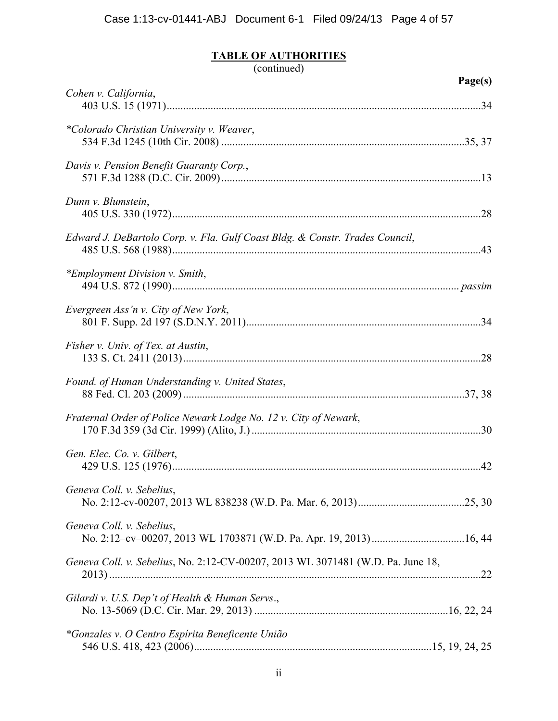|                                                                                 | Page(s) |
|---------------------------------------------------------------------------------|---------|
| Cohen v. California,                                                            |         |
| *Colorado Christian University v. Weaver,                                       |         |
| Davis v. Pension Benefit Guaranty Corp.,                                        |         |
| Dunn v. Blumstein,                                                              |         |
| Edward J. DeBartolo Corp. v. Fla. Gulf Coast Bldg. & Constr. Trades Council,    |         |
| *Employment Division v. Smith,                                                  |         |
| Evergreen Ass'n v. City of New York,                                            |         |
| Fisher v. Univ. of Tex. at Austin,                                              |         |
| Found. of Human Understanding v. United States,                                 |         |
| Fraternal Order of Police Newark Lodge No. 12 v. City of Newark,                |         |
| Gen. Elec. Co. v. Gilbert,                                                      |         |
| Geneva Coll. v. Sebelius,                                                       |         |
| Geneva Coll. v. Sebelius,                                                       |         |
| Geneva Coll. v. Sebelius, No. 2:12-CV-00207, 2013 WL 3071481 (W.D. Pa. June 18, |         |
| Gilardi v. U.S. Dep't of Health & Human Servs.,                                 |         |
| *Gonzales v. O Centro Espírita Beneficente União                                |         |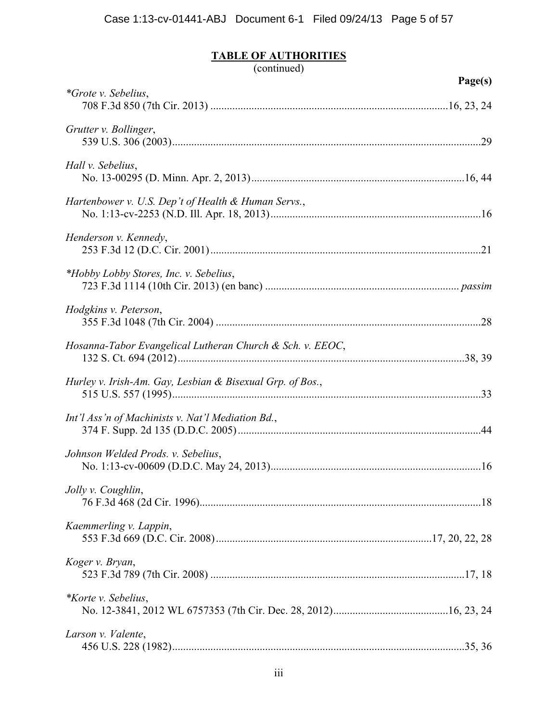|                                                           | Page(s) |
|-----------------------------------------------------------|---------|
| <i>*Grote v. Sebelius,</i>                                |         |
| Grutter v. Bollinger,                                     |         |
| Hall v. Sebelius,                                         |         |
| Hartenbower v. U.S. Dep't of Health & Human Servs.,       |         |
| Henderson v. Kennedy,                                     |         |
| *Hobby Lobby Stores, Inc. v. Sebelius,                    |         |
| Hodgkins v. Peterson,                                     |         |
| Hosanna-Tabor Evangelical Lutheran Church & Sch. v. EEOC, |         |
| Hurley v. Irish-Am. Gay, Lesbian & Bisexual Grp. of Bos., |         |
| Int'l Ass'n of Machinists v. Nat'l Mediation Bd.,         |         |
| Johnson Welded Prods. v. Sebelius,                        |         |
| Jolly v. Coughlin,                                        |         |
| Kaemmerling v. Lappin,                                    |         |
| Koger v. Bryan,                                           |         |
| <i>*Korte v. Sebelius,</i>                                |         |
| Larson v. Valente,                                        |         |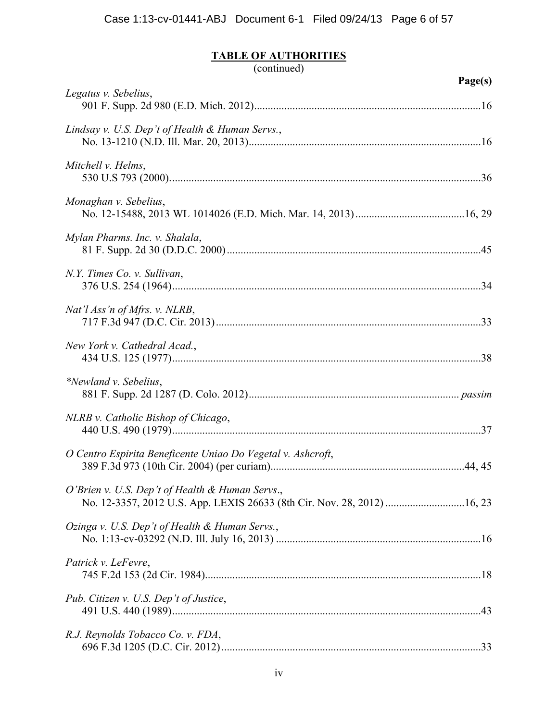|                                                                                                                             | Page(s) |
|-----------------------------------------------------------------------------------------------------------------------------|---------|
| Legatus v. Sebelius,                                                                                                        |         |
| Lindsay v. U.S. Dep't of Health & Human Servs.,                                                                             |         |
| Mitchell v. Helms,                                                                                                          |         |
| Monaghan v. Sebelius,                                                                                                       |         |
| Mylan Pharms. Inc. v. Shalala,                                                                                              |         |
| N.Y. Times Co. v. Sullivan,                                                                                                 |         |
| Nat'l Ass'n of Mfrs. v. NLRB,                                                                                               |         |
| New York v. Cathedral Acad.,                                                                                                |         |
| *Newland v. Sebelius,                                                                                                       |         |
| NLRB v. Catholic Bishop of Chicago,                                                                                         |         |
| O Centro Espirita Beneficente Uniao Do Vegetal v. Ashcroft,                                                                 |         |
| O'Brien v. U.S. Dep't of Health & Human Servs.,<br>No. 12-3357, 2012 U.S. App. LEXIS 26633 (8th Cir. Nov. 28, 2012)  16, 23 |         |
| Ozinga v. U.S. Dep't of Health & Human Servs.,                                                                              |         |
| Patrick v. LeFevre,                                                                                                         |         |
| Pub. Citizen v. U.S. Dep't of Justice,                                                                                      |         |
| R.J. Reynolds Tobacco Co. v. FDA,                                                                                           |         |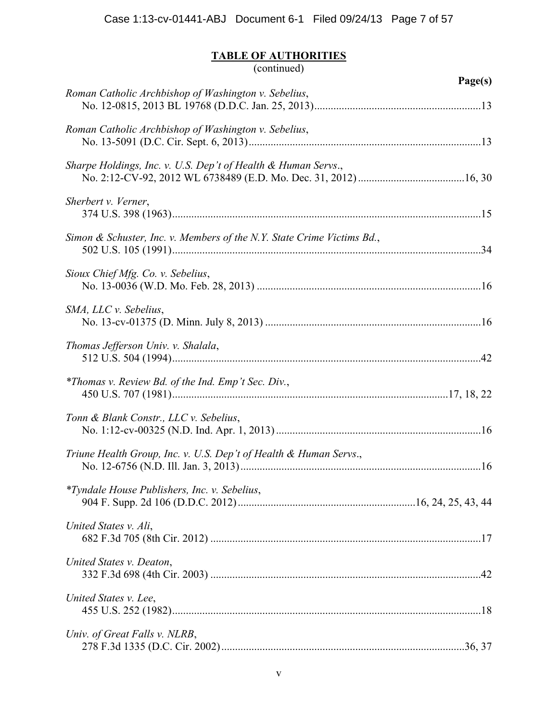| (continued)                                                            |         |
|------------------------------------------------------------------------|---------|
| Roman Catholic Archbishop of Washington v. Sebelius,                   | Page(s) |
| Roman Catholic Archbishop of Washington v. Sebelius,                   |         |
| Sharpe Holdings, Inc. v. U.S. Dep't of Health & Human Servs.,          |         |
| Sherbert v. Verner,                                                    |         |
| Simon & Schuster, Inc. v. Members of the N.Y. State Crime Victims Bd., |         |
| Sioux Chief Mfg. Co. v. Sebelius,                                      |         |
| SMA, LLC v. Sebelius,                                                  |         |
| Thomas Jefferson Univ. v. Shalala,                                     |         |
| *Thomas v. Review Bd. of the Ind. Emp't Sec. Div.,                     |         |
| Tonn & Blank Constr., LLC v. Sebelius,                                 |         |
| Triune Health Group, Inc. v. U.S. Dep't of Health & Human Servs.,      |         |
| <i>*Tyndale House Publishers, Inc. v. Sebelius,</i>                    |         |
| United States v. Ali,                                                  |         |
| United States v. Deaton,                                               |         |
| United States v. Lee,                                                  |         |
| Univ. of Great Falls v. NLRB,                                          |         |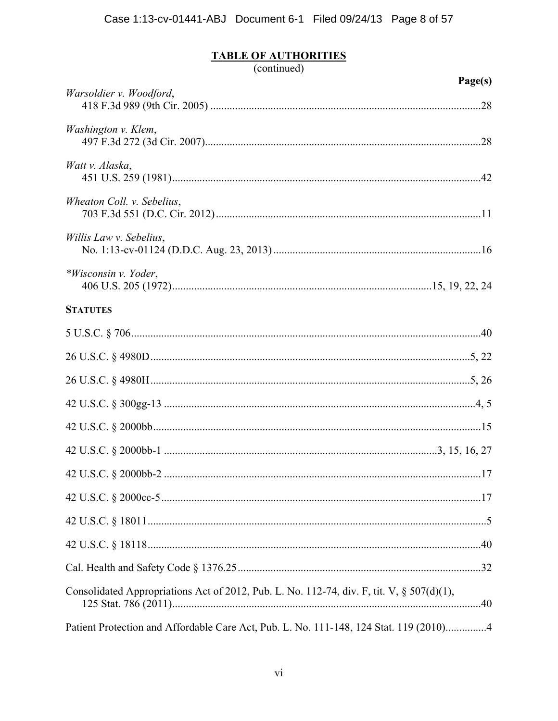| (continued) |  |
|-------------|--|
|             |  |

|                                                                                           | Page(s) |
|-------------------------------------------------------------------------------------------|---------|
| Warsoldier v. Woodford,                                                                   |         |
| Washington v. Klem,                                                                       |         |
| Watt v. Alaska,                                                                           |         |
| Wheaton Coll. v. Sebelius,                                                                |         |
| Willis Law v. Sebelius,                                                                   |         |
| *Wisconsin v. Yoder,                                                                      |         |
| <b>STATUTES</b>                                                                           |         |
|                                                                                           |         |
|                                                                                           |         |
|                                                                                           |         |
|                                                                                           |         |
|                                                                                           |         |
|                                                                                           |         |
|                                                                                           |         |
|                                                                                           |         |
|                                                                                           |         |
|                                                                                           |         |
|                                                                                           |         |
| Consolidated Appropriations Act of 2012, Pub. L. No. 112-74, div. F, tit. V, § 507(d)(1), |         |
| Patient Protection and Affordable Care Act, Pub. L. No. 111-148, 124 Stat. 119 (2010)4    |         |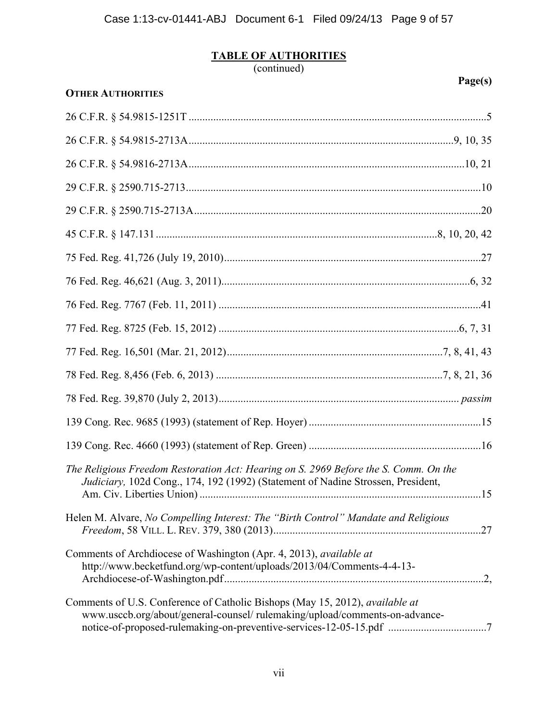| Page(s)<br><b>OTHER AUTHORITIES</b>                                                                                                                                                                                                |  |
|------------------------------------------------------------------------------------------------------------------------------------------------------------------------------------------------------------------------------------|--|
|                                                                                                                                                                                                                                    |  |
|                                                                                                                                                                                                                                    |  |
|                                                                                                                                                                                                                                    |  |
|                                                                                                                                                                                                                                    |  |
|                                                                                                                                                                                                                                    |  |
|                                                                                                                                                                                                                                    |  |
|                                                                                                                                                                                                                                    |  |
|                                                                                                                                                                                                                                    |  |
|                                                                                                                                                                                                                                    |  |
|                                                                                                                                                                                                                                    |  |
|                                                                                                                                                                                                                                    |  |
|                                                                                                                                                                                                                                    |  |
|                                                                                                                                                                                                                                    |  |
|                                                                                                                                                                                                                                    |  |
|                                                                                                                                                                                                                                    |  |
|                                                                                                                                                                                                                                    |  |
| The Religious Freedom Restoration Act: Hearing on S. 2969 Before the S. Comm. On the<br>Judiciary, 102d Cong., 174, 192 (1992) (Statement of Nadine Strossen, President,                                                           |  |
| Helen M. Alvare, No Compelling Interest: The "Birth Control" Mandate and Religious                                                                                                                                                 |  |
| Comments of Archdiocese of Washington (Apr. 4, 2013), available at<br>http://www.becketfund.org/wp-content/uploads/2013/04/Comments-4-4-13-                                                                                        |  |
| Comments of U.S. Conference of Catholic Bishops (May 15, 2012), available at<br>www.usccb.org/about/general-counsel/ rulemaking/upload/comments-on-advance-<br>notice-of-proposed-rulemaking-on-preventive-services-12-05-15.pdf 7 |  |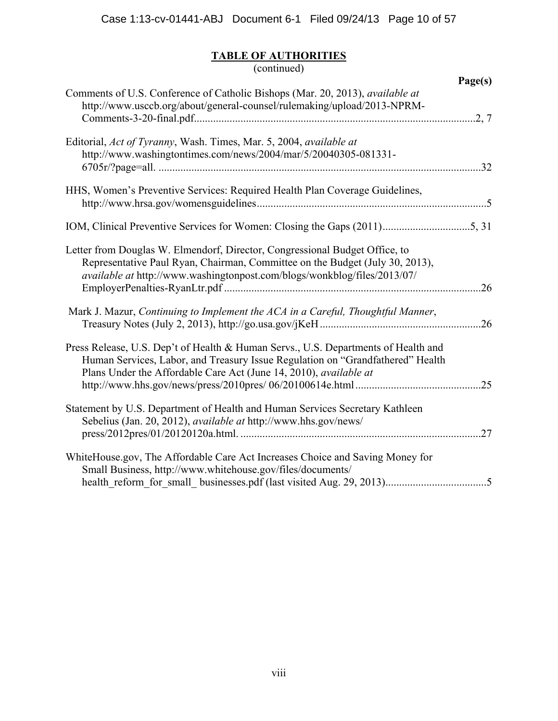|                                                                                                                                                                                                                                           | Page(s) |
|-------------------------------------------------------------------------------------------------------------------------------------------------------------------------------------------------------------------------------------------|---------|
| Comments of U.S. Conference of Catholic Bishops (Mar. 20, 2013), <i>available at</i><br>http://www.usccb.org/about/general-counsel/rulemaking/upload/2013-NPRM-                                                                           | .2, 7   |
| Editorial, Act of Tyranny, Wash. Times, Mar. 5, 2004, available at<br>http://www.washingtontimes.com/news/2004/mar/5/20040305-081331-                                                                                                     |         |
| HHS, Women's Preventive Services: Required Health Plan Coverage Guidelines,                                                                                                                                                               |         |
|                                                                                                                                                                                                                                           |         |
| Letter from Douglas W. Elmendorf, Director, Congressional Budget Office, to<br>Representative Paul Ryan, Chairman, Committee on the Budget (July 30, 2013),<br>available at http://www.washingtonpost.com/blogs/wonkblog/files/2013/07/   | 26      |
| Mark J. Mazur, Continuing to Implement the ACA in a Careful, Thoughtful Manner,                                                                                                                                                           | 26      |
| Press Release, U.S. Dep't of Health & Human Servs., U.S. Departments of Health and<br>Human Services, Labor, and Treasury Issue Regulation on "Grandfathered" Health<br>Plans Under the Affordable Care Act (June 14, 2010), available at | .25     |
| Statement by U.S. Department of Health and Human Services Secretary Kathleen<br>Sebelius (Jan. 20, 2012), <i>available at http://www.hhs.gov/news/</i>                                                                                    | 27      |
| WhiteHouse.gov, The Affordable Care Act Increases Choice and Saving Money for<br>Small Business, http://www.whitehouse.gov/files/documents/                                                                                               |         |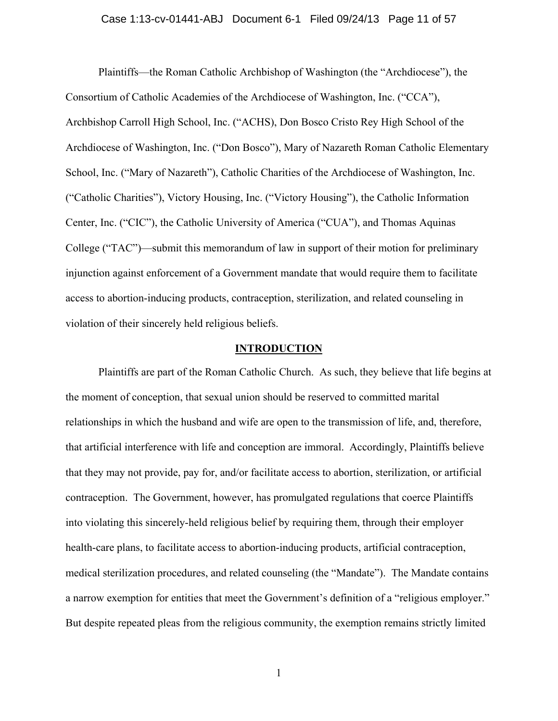Plaintiffs—the Roman Catholic Archbishop of Washington (the "Archdiocese"), the Consortium of Catholic Academies of the Archdiocese of Washington, Inc. ("CCA"), Archbishop Carroll High School, Inc. ("ACHS), Don Bosco Cristo Rey High School of the Archdiocese of Washington, Inc. ("Don Bosco"), Mary of Nazareth Roman Catholic Elementary School, Inc. ("Mary of Nazareth"), Catholic Charities of the Archdiocese of Washington, Inc. ("Catholic Charities"), Victory Housing, Inc. ("Victory Housing"), the Catholic Information Center, Inc. ("CIC"), the Catholic University of America ("CUA"), and Thomas Aquinas College ("TAC")—submit this memorandum of law in support of their motion for preliminary injunction against enforcement of a Government mandate that would require them to facilitate access to abortion-inducing products, contraception, sterilization, and related counseling in violation of their sincerely held religious beliefs.

## **INTRODUCTION**

Plaintiffs are part of the Roman Catholic Church. As such, they believe that life begins at the moment of conception, that sexual union should be reserved to committed marital relationships in which the husband and wife are open to the transmission of life, and, therefore, that artificial interference with life and conception are immoral. Accordingly, Plaintiffs believe that they may not provide, pay for, and/or facilitate access to abortion, sterilization, or artificial contraception. The Government, however, has promulgated regulations that coerce Plaintiffs into violating this sincerely-held religious belief by requiring them, through their employer health-care plans, to facilitate access to abortion-inducing products, artificial contraception, medical sterilization procedures, and related counseling (the "Mandate"). The Mandate contains a narrow exemption for entities that meet the Government's definition of a "religious employer." But despite repeated pleas from the religious community, the exemption remains strictly limited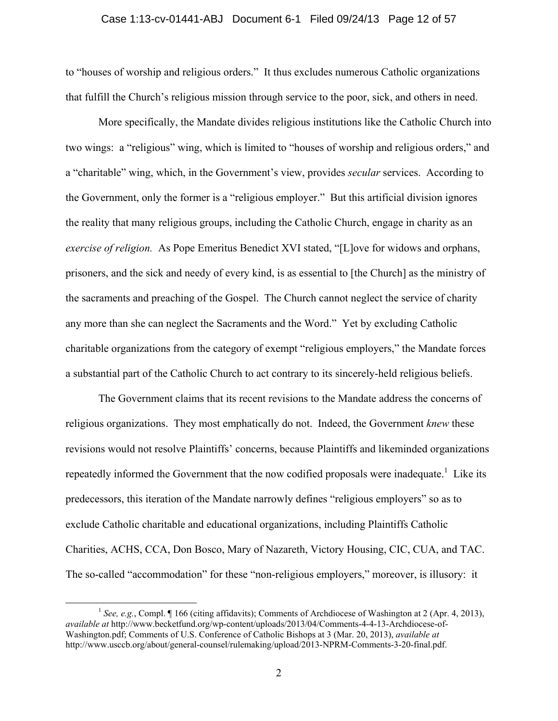## Case 1:13-cv-01441-ABJ Document 6-1 Filed 09/24/13 Page 12 of 57

to "houses of worship and religious orders." It thus excludes numerous Catholic organizations that fulfill the Church's religious mission through service to the poor, sick, and others in need.

More specifically, the Mandate divides religious institutions like the Catholic Church into two wings: a "religious" wing, which is limited to "houses of worship and religious orders," and a "charitable" wing, which, in the Government's view, provides *secular* services. According to the Government, only the former is a "religious employer." But this artificial division ignores the reality that many religious groups, including the Catholic Church, engage in charity as an *exercise of religion.* As Pope Emeritus Benedict XVI stated, "[L]ove for widows and orphans, prisoners, and the sick and needy of every kind, is as essential to [the Church] as the ministry of the sacraments and preaching of the Gospel. The Church cannot neglect the service of charity any more than she can neglect the Sacraments and the Word." Yet by excluding Catholic charitable organizations from the category of exempt "religious employers," the Mandate forces a substantial part of the Catholic Church to act contrary to its sincerely-held religious beliefs.

The Government claims that its recent revisions to the Mandate address the concerns of religious organizations. They most emphatically do not. Indeed, the Government *knew* these revisions would not resolve Plaintiffs' concerns, because Plaintiffs and likeminded organizations repeatedly informed the Government that the now codified proposals were inadequate.<sup>1</sup> Like its predecessors, this iteration of the Mandate narrowly defines "religious employers" so as to exclude Catholic charitable and educational organizations, including Plaintiffs Catholic Charities, ACHS, CCA, Don Bosco, Mary of Nazareth, Victory Housing, CIC, CUA, and TAC. The so-called "accommodation" for these "non-religious employers," moreover, is illusory: it

<sup>&</sup>lt;sup>1</sup> See, e.g., Compl. ¶ 166 (citing affidavits); Comments of Archdiocese of Washington at 2 (Apr. 4, 2013), *available at* http://www.becketfund.org/wp-content/uploads/2013/04/Comments-4-4-13-Archdiocese-of-Washington.pdf; Comments of U.S. Conference of Catholic Bishops at 3 (Mar. 20, 2013), *available at* http://www.usccb.org/about/general-counsel/rulemaking/upload/2013-NPRM-Comments-3-20-final.pdf.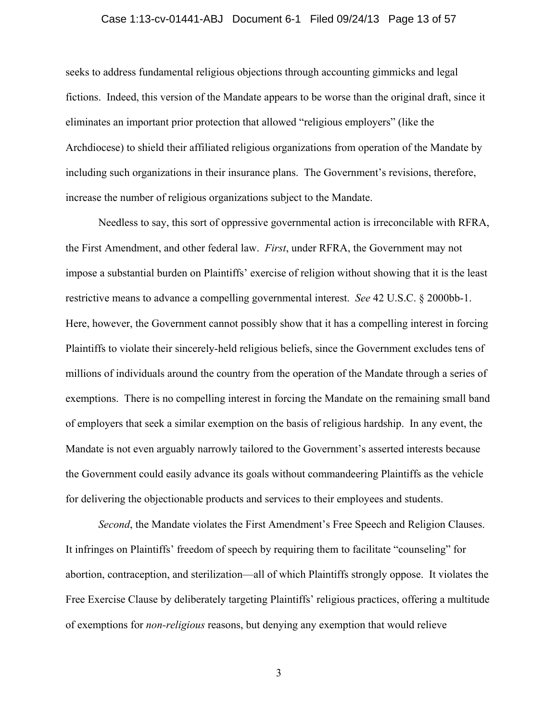## Case 1:13-cv-01441-ABJ Document 6-1 Filed 09/24/13 Page 13 of 57

seeks to address fundamental religious objections through accounting gimmicks and legal fictions. Indeed, this version of the Mandate appears to be worse than the original draft, since it eliminates an important prior protection that allowed "religious employers" (like the Archdiocese) to shield their affiliated religious organizations from operation of the Mandate by including such organizations in their insurance plans. The Government's revisions, therefore, increase the number of religious organizations subject to the Mandate.

Needless to say, this sort of oppressive governmental action is irreconcilable with RFRA, the First Amendment, and other federal law. *First*, under RFRA, the Government may not impose a substantial burden on Plaintiffs' exercise of religion without showing that it is the least restrictive means to advance a compelling governmental interest. *See* 42 U.S.C. § 2000bb-1. Here, however, the Government cannot possibly show that it has a compelling interest in forcing Plaintiffs to violate their sincerely-held religious beliefs, since the Government excludes tens of millions of individuals around the country from the operation of the Mandate through a series of exemptions. There is no compelling interest in forcing the Mandate on the remaining small band of employers that seek a similar exemption on the basis of religious hardship. In any event, the Mandate is not even arguably narrowly tailored to the Government's asserted interests because the Government could easily advance its goals without commandeering Plaintiffs as the vehicle for delivering the objectionable products and services to their employees and students.

*Second*, the Mandate violates the First Amendment's Free Speech and Religion Clauses. It infringes on Plaintiffs' freedom of speech by requiring them to facilitate "counseling" for abortion, contraception, and sterilization—all of which Plaintiffs strongly oppose. It violates the Free Exercise Clause by deliberately targeting Plaintiffs' religious practices, offering a multitude of exemptions for *non-religious* reasons, but denying any exemption that would relieve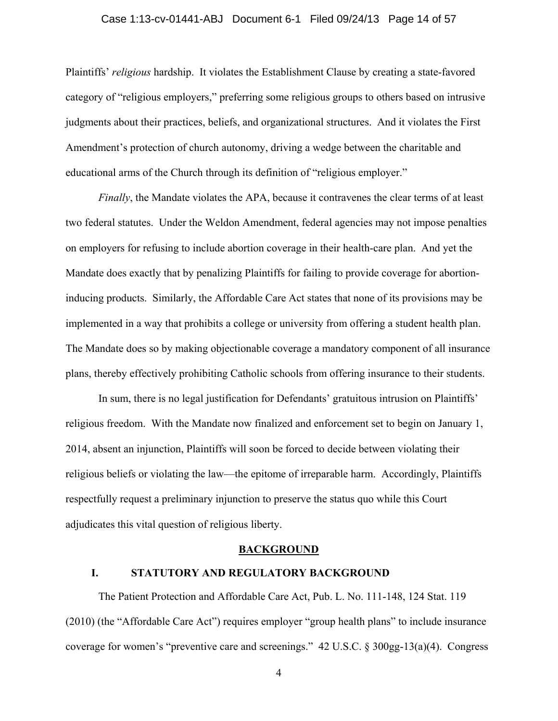## Case 1:13-cv-01441-ABJ Document 6-1 Filed 09/24/13 Page 14 of 57

Plaintiffs' *religious* hardship. It violates the Establishment Clause by creating a state-favored category of "religious employers," preferring some religious groups to others based on intrusive judgments about their practices, beliefs, and organizational structures. And it violates the First Amendment's protection of church autonomy, driving a wedge between the charitable and educational arms of the Church through its definition of "religious employer."

*Finally*, the Mandate violates the APA, because it contravenes the clear terms of at least two federal statutes. Under the Weldon Amendment, federal agencies may not impose penalties on employers for refusing to include abortion coverage in their health-care plan. And yet the Mandate does exactly that by penalizing Plaintiffs for failing to provide coverage for abortioninducing products. Similarly, the Affordable Care Act states that none of its provisions may be implemented in a way that prohibits a college or university from offering a student health plan. The Mandate does so by making objectionable coverage a mandatory component of all insurance plans, thereby effectively prohibiting Catholic schools from offering insurance to their students.

In sum, there is no legal justification for Defendants' gratuitous intrusion on Plaintiffs' religious freedom. With the Mandate now finalized and enforcement set to begin on January 1, 2014, absent an injunction, Plaintiffs will soon be forced to decide between violating their religious beliefs or violating the law—the epitome of irreparable harm. Accordingly, Plaintiffs respectfully request a preliminary injunction to preserve the status quo while this Court adjudicates this vital question of religious liberty.

#### **BACKGROUND**

## **I. STATUTORY AND REGULATORY BACKGROUND**

The Patient Protection and Affordable Care Act, Pub. L. No. 111-148, 124 Stat. 119 (2010) (the "Affordable Care Act") requires employer "group health plans" to include insurance coverage for women's "preventive care and screenings." 42 U.S.C. § 300gg-13(a)(4). Congress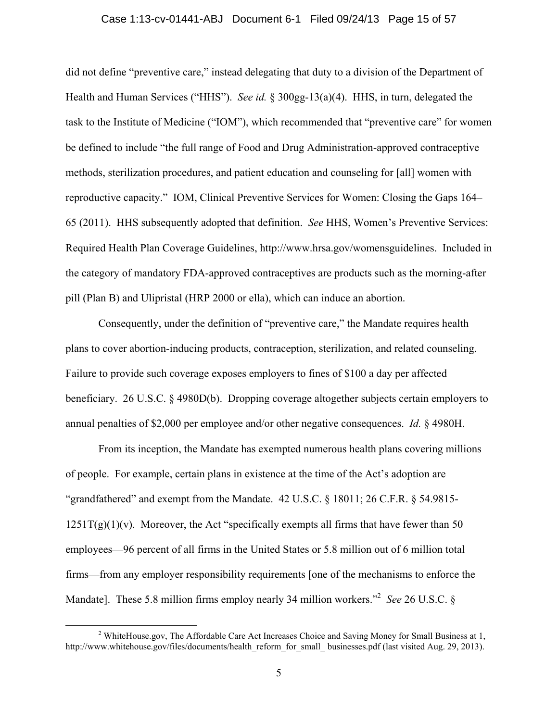## Case 1:13-cv-01441-ABJ Document 6-1 Filed 09/24/13 Page 15 of 57

did not define "preventive care," instead delegating that duty to a division of the Department of Health and Human Services ("HHS"). *See id.* § 300gg-13(a)(4). HHS, in turn, delegated the task to the Institute of Medicine ("IOM"), which recommended that "preventive care" for women be defined to include "the full range of Food and Drug Administration-approved contraceptive methods, sterilization procedures, and patient education and counseling for [all] women with reproductive capacity." IOM, Clinical Preventive Services for Women: Closing the Gaps 164– 65 (2011). HHS subsequently adopted that definition. *See* HHS, Women's Preventive Services: Required Health Plan Coverage Guidelines, http://www.hrsa.gov/womensguidelines. Included in the category of mandatory FDA-approved contraceptives are products such as the morning-after pill (Plan B) and Ulipristal (HRP 2000 or ella), which can induce an abortion.

Consequently, under the definition of "preventive care," the Mandate requires health plans to cover abortion-inducing products, contraception, sterilization, and related counseling. Failure to provide such coverage exposes employers to fines of \$100 a day per affected beneficiary. 26 U.S.C. § 4980D(b). Dropping coverage altogether subjects certain employers to annual penalties of \$2,000 per employee and/or other negative consequences. *Id.* § 4980H.

From its inception, the Mandate has exempted numerous health plans covering millions of people. For example, certain plans in existence at the time of the Act's adoption are "grandfathered" and exempt from the Mandate. 42 U.S.C. § 18011; 26 C.F.R. § 54.9815-  $1251T(g)(1)(v)$ . Moreover, the Act "specifically exempts all firms that have fewer than 50 employees—96 percent of all firms in the United States or 5.8 million out of 6 million total firms—from any employer responsibility requirements [one of the mechanisms to enforce the Mandate]. These 5.8 million firms employ nearly 34 million workers.<sup>22</sup> See 26 U.S.C. §

 $\frac{1}{2}$ <sup>2</sup> WhiteHouse.gov, The Affordable Care Act Increases Choice and Saving Money for Small Business at 1, http://www.whitehouse.gov/files/documents/health\_reform\_for\_small\_ businesses.pdf (last visited Aug. 29, 2013).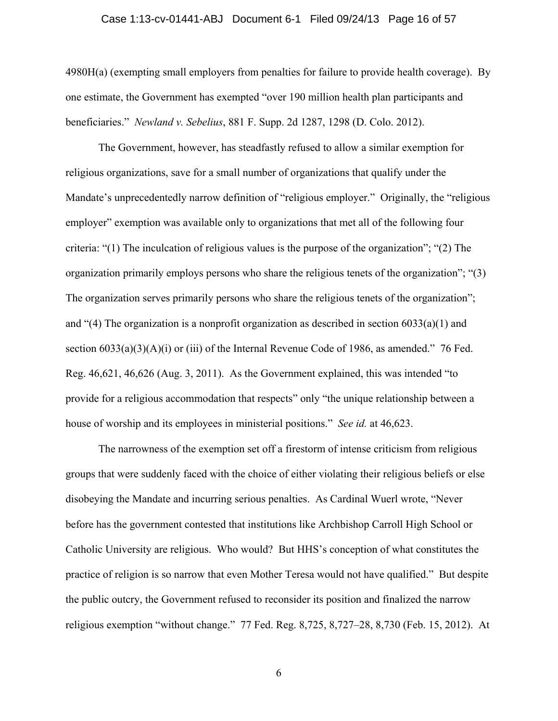### Case 1:13-cv-01441-ABJ Document 6-1 Filed 09/24/13 Page 16 of 57

4980H(a) (exempting small employers from penalties for failure to provide health coverage). By one estimate, the Government has exempted "over 190 million health plan participants and beneficiaries." *Newland v. Sebelius*, 881 F. Supp. 2d 1287, 1298 (D. Colo. 2012).

The Government, however, has steadfastly refused to allow a similar exemption for religious organizations, save for a small number of organizations that qualify under the Mandate's unprecedentedly narrow definition of "religious employer." Originally, the "religious employer" exemption was available only to organizations that met all of the following four criteria: "(1) The inculcation of religious values is the purpose of the organization"; "(2) The organization primarily employs persons who share the religious tenets of the organization"; "(3) The organization serves primarily persons who share the religious tenets of the organization"; and "(4) The organization is a nonprofit organization as described in section 6033(a)(1) and section  $6033(a)(3)(A)(i)$  or (iii) of the Internal Revenue Code of 1986, as amended." 76 Fed. Reg. 46,621, 46,626 (Aug. 3, 2011). As the Government explained, this was intended "to provide for a religious accommodation that respects" only "the unique relationship between a house of worship and its employees in ministerial positions." *See id.* at 46,623.

The narrowness of the exemption set off a firestorm of intense criticism from religious groups that were suddenly faced with the choice of either violating their religious beliefs or else disobeying the Mandate and incurring serious penalties. As Cardinal Wuerl wrote, "Never before has the government contested that institutions like Archbishop Carroll High School or Catholic University are religious. Who would? But HHS's conception of what constitutes the practice of religion is so narrow that even Mother Teresa would not have qualified." But despite the public outcry, the Government refused to reconsider its position and finalized the narrow religious exemption "without change." 77 Fed. Reg. 8,725, 8,727–28, 8,730 (Feb. 15, 2012). At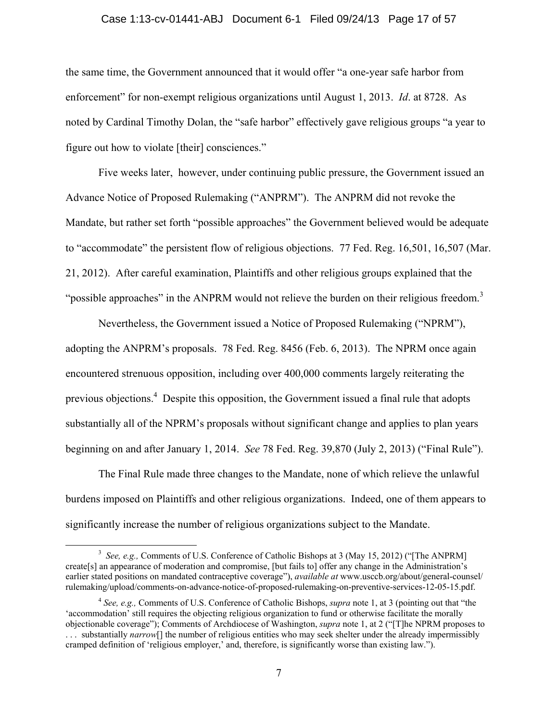## Case 1:13-cv-01441-ABJ Document 6-1 Filed 09/24/13 Page 17 of 57

the same time, the Government announced that it would offer "a one-year safe harbor from enforcement" for non-exempt religious organizations until August 1, 2013. *Id*. at 8728. As noted by Cardinal Timothy Dolan, the "safe harbor" effectively gave religious groups "a year to figure out how to violate [their] consciences."

Five weeks later, however, under continuing public pressure, the Government issued an Advance Notice of Proposed Rulemaking ("ANPRM"). The ANPRM did not revoke the Mandate, but rather set forth "possible approaches" the Government believed would be adequate to "accommodate" the persistent flow of religious objections. 77 Fed. Reg. 16,501, 16,507 (Mar. 21, 2012). After careful examination, Plaintiffs and other religious groups explained that the "possible approaches" in the ANPRM would not relieve the burden on their religious freedom. $3$ 

Nevertheless, the Government issued a Notice of Proposed Rulemaking ("NPRM"), adopting the ANPRM's proposals. 78 Fed. Reg. 8456 (Feb. 6, 2013). The NPRM once again encountered strenuous opposition, including over 400,000 comments largely reiterating the previous objections.<sup>4</sup> Despite this opposition, the Government issued a final rule that adopts substantially all of the NPRM's proposals without significant change and applies to plan years beginning on and after January 1, 2014. *See* 78 Fed. Reg. 39,870 (July 2, 2013) ("Final Rule").

The Final Rule made three changes to the Mandate, none of which relieve the unlawful burdens imposed on Plaintiffs and other religious organizations. Indeed, one of them appears to significantly increase the number of religious organizations subject to the Mandate.

 <sup>3</sup> <sup>3</sup> See, e.g., Comments of U.S. Conference of Catholic Bishops at 3 (May 15, 2012) ("[The ANPRM] create[s] an appearance of moderation and compromise, [but fails to] offer any change in the Administration's earlier stated positions on mandated contraceptive coverage"), *available at* www.usccb.org/about/general-counsel/ rulemaking/upload/comments-on-advance-notice-of-proposed-rulemaking-on-preventive-services-12-05-15.pdf.

<sup>4</sup> *See, e.g.,* Comments of U.S. Conference of Catholic Bishops, *supra* note 1, at 3 (pointing out that "the 'accommodation' still requires the objecting religious organization to fund or otherwise facilitate the morally objectionable coverage"); Comments of Archdiocese of Washington, *supra* note 1, at 2 ("[T]he NPRM proposes to . . . substantially *narrow*[] the number of religious entities who may seek shelter under the already impermissibly cramped definition of 'religious employer,' and, therefore, is significantly worse than existing law.").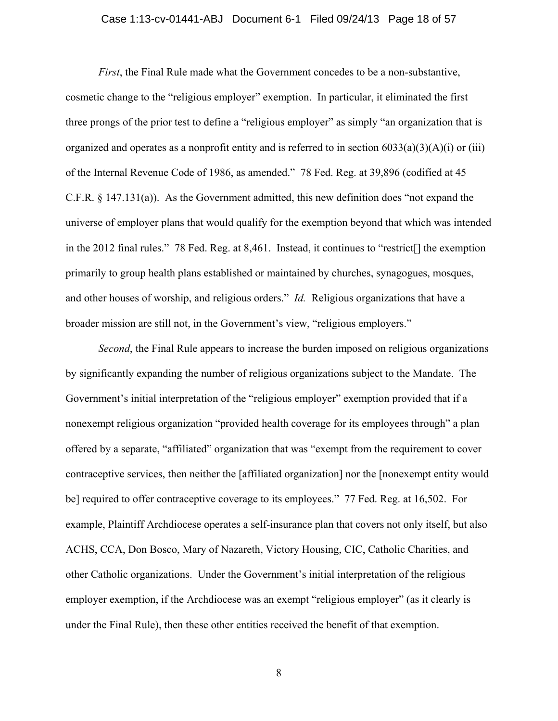## Case 1:13-cv-01441-ABJ Document 6-1 Filed 09/24/13 Page 18 of 57

*First*, the Final Rule made what the Government concedes to be a non-substantive, cosmetic change to the "religious employer" exemption. In particular, it eliminated the first three prongs of the prior test to define a "religious employer" as simply "an organization that is organized and operates as a nonprofit entity and is referred to in section  $6033(a)(3)(A)(i)$  or (iii) of the Internal Revenue Code of 1986, as amended." 78 Fed. Reg. at 39,896 (codified at 45 C.F.R. § 147.131(a)). As the Government admitted, this new definition does "not expand the universe of employer plans that would qualify for the exemption beyond that which was intended in the 2012 final rules." 78 Fed. Reg. at 8,461. Instead, it continues to "restrict[] the exemption primarily to group health plans established or maintained by churches, synagogues, mosques, and other houses of worship, and religious orders." *Id.* Religious organizations that have a broader mission are still not, in the Government's view, "religious employers."

*Second*, the Final Rule appears to increase the burden imposed on religious organizations by significantly expanding the number of religious organizations subject to the Mandate. The Government's initial interpretation of the "religious employer" exemption provided that if a nonexempt religious organization "provided health coverage for its employees through" a plan offered by a separate, "affiliated" organization that was "exempt from the requirement to cover contraceptive services, then neither the [affiliated organization] nor the [nonexempt entity would be] required to offer contraceptive coverage to its employees." 77 Fed. Reg. at 16,502. For example, Plaintiff Archdiocese operates a self-insurance plan that covers not only itself, but also ACHS, CCA, Don Bosco, Mary of Nazareth, Victory Housing, CIC, Catholic Charities, and other Catholic organizations. Under the Government's initial interpretation of the religious employer exemption, if the Archdiocese was an exempt "religious employer" (as it clearly is under the Final Rule), then these other entities received the benefit of that exemption.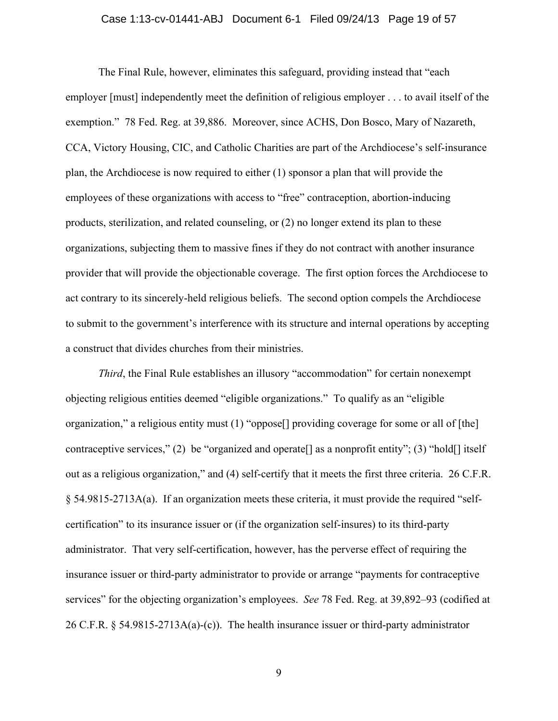## Case 1:13-cv-01441-ABJ Document 6-1 Filed 09/24/13 Page 19 of 57

The Final Rule, however, eliminates this safeguard, providing instead that "each employer [must] independently meet the definition of religious employer . . . to avail itself of the exemption." 78 Fed. Reg. at 39,886. Moreover, since ACHS, Don Bosco, Mary of Nazareth, CCA, Victory Housing, CIC, and Catholic Charities are part of the Archdiocese's self-insurance plan, the Archdiocese is now required to either (1) sponsor a plan that will provide the employees of these organizations with access to "free" contraception, abortion-inducing products, sterilization, and related counseling, or (2) no longer extend its plan to these organizations, subjecting them to massive fines if they do not contract with another insurance provider that will provide the objectionable coverage. The first option forces the Archdiocese to act contrary to its sincerely-held religious beliefs. The second option compels the Archdiocese to submit to the government's interference with its structure and internal operations by accepting a construct that divides churches from their ministries.

*Third*, the Final Rule establishes an illusory "accommodation" for certain nonexempt objecting religious entities deemed "eligible organizations." To qualify as an "eligible organization," a religious entity must (1) "oppose[] providing coverage for some or all of [the] contraceptive services," (2) be "organized and operate [] as a nonprofit entity"; (3) "hold [] itself out as a religious organization," and (4) self-certify that it meets the first three criteria. 26 C.F.R. § 54.9815-2713A(a). If an organization meets these criteria, it must provide the required "selfcertification" to its insurance issuer or (if the organization self-insures) to its third-party administrator. That very self-certification, however, has the perverse effect of requiring the insurance issuer or third-party administrator to provide or arrange "payments for contraceptive services" for the objecting organization's employees. *See* 78 Fed. Reg. at 39,892–93 (codified at 26 C.F.R. § 54.9815-2713A(a)-(c)). The health insurance issuer or third-party administrator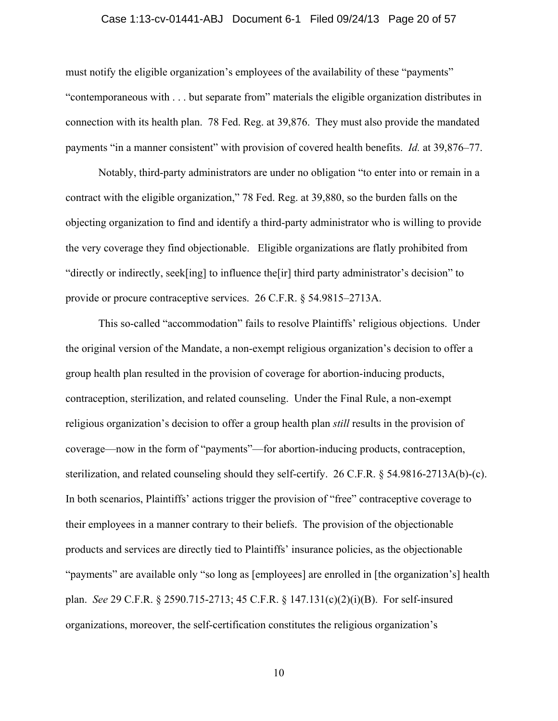## Case 1:13-cv-01441-ABJ Document 6-1 Filed 09/24/13 Page 20 of 57

must notify the eligible organization's employees of the availability of these "payments" "contemporaneous with . . . but separate from" materials the eligible organization distributes in connection with its health plan. 78 Fed. Reg. at 39,876. They must also provide the mandated payments "in a manner consistent" with provision of covered health benefits. *Id.* at 39,876–77.

Notably, third-party administrators are under no obligation "to enter into or remain in a contract with the eligible organization," 78 Fed. Reg. at 39,880, so the burden falls on the objecting organization to find and identify a third-party administrator who is willing to provide the very coverage they find objectionable. Eligible organizations are flatly prohibited from "directly or indirectly, seek[ing] to influence the[ir] third party administrator's decision" to provide or procure contraceptive services. 26 C.F.R. § 54.9815–2713A.

This so-called "accommodation" fails to resolve Plaintiffs' religious objections. Under the original version of the Mandate, a non-exempt religious organization's decision to offer a group health plan resulted in the provision of coverage for abortion-inducing products, contraception, sterilization, and related counseling. Under the Final Rule, a non-exempt religious organization's decision to offer a group health plan *still* results in the provision of coverage—now in the form of "payments"—for abortion-inducing products, contraception, sterilization, and related counseling should they self-certify. 26 C.F.R. § 54.9816-2713A(b)-(c). In both scenarios, Plaintiffs' actions trigger the provision of "free" contraceptive coverage to their employees in a manner contrary to their beliefs. The provision of the objectionable products and services are directly tied to Plaintiffs' insurance policies, as the objectionable "payments" are available only "so long as [employees] are enrolled in [the organization's] health plan. *See* 29 C.F.R. § 2590.715-2713; 45 C.F.R. § 147.131(c)(2)(i)(B). For self-insured organizations, moreover, the self-certification constitutes the religious organization's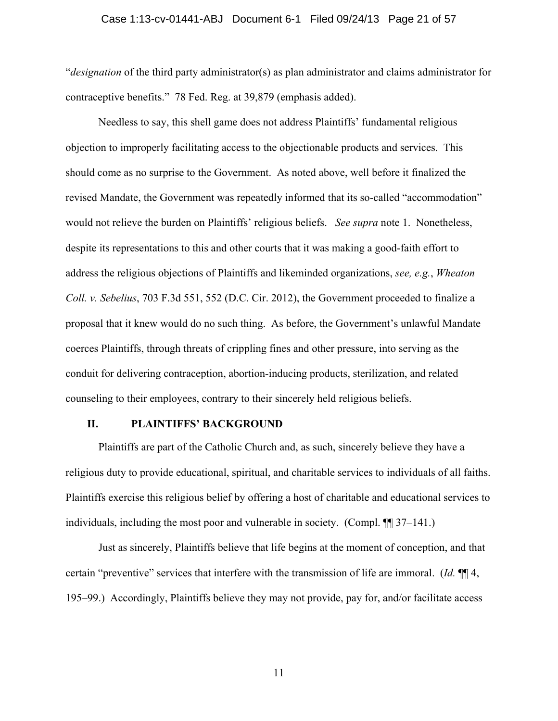#### Case 1:13-cv-01441-ABJ Document 6-1 Filed 09/24/13 Page 21 of 57

"*designation* of the third party administrator(s) as plan administrator and claims administrator for contraceptive benefits." 78 Fed. Reg. at 39,879 (emphasis added).

Needless to say, this shell game does not address Plaintiffs' fundamental religious objection to improperly facilitating access to the objectionable products and services. This should come as no surprise to the Government. As noted above, well before it finalized the revised Mandate, the Government was repeatedly informed that its so-called "accommodation" would not relieve the burden on Plaintiffs' religious beliefs. *See supra* note 1. Nonetheless, despite its representations to this and other courts that it was making a good-faith effort to address the religious objections of Plaintiffs and likeminded organizations, *see, e.g.*, *Wheaton Coll. v. Sebelius*, 703 F.3d 551, 552 (D.C. Cir. 2012), the Government proceeded to finalize a proposal that it knew would do no such thing. As before, the Government's unlawful Mandate coerces Plaintiffs, through threats of crippling fines and other pressure, into serving as the conduit for delivering contraception, abortion-inducing products, sterilization, and related counseling to their employees, contrary to their sincerely held religious beliefs.

## **II. PLAINTIFFS' BACKGROUND**

Plaintiffs are part of the Catholic Church and, as such, sincerely believe they have a religious duty to provide educational, spiritual, and charitable services to individuals of all faiths. Plaintiffs exercise this religious belief by offering a host of charitable and educational services to individuals, including the most poor and vulnerable in society. (Compl. ¶¶ 37–141.)

Just as sincerely, Plaintiffs believe that life begins at the moment of conception, and that certain "preventive" services that interfere with the transmission of life are immoral. (*Id.* ¶¶ 4, 195–99.) Accordingly, Plaintiffs believe they may not provide, pay for, and/or facilitate access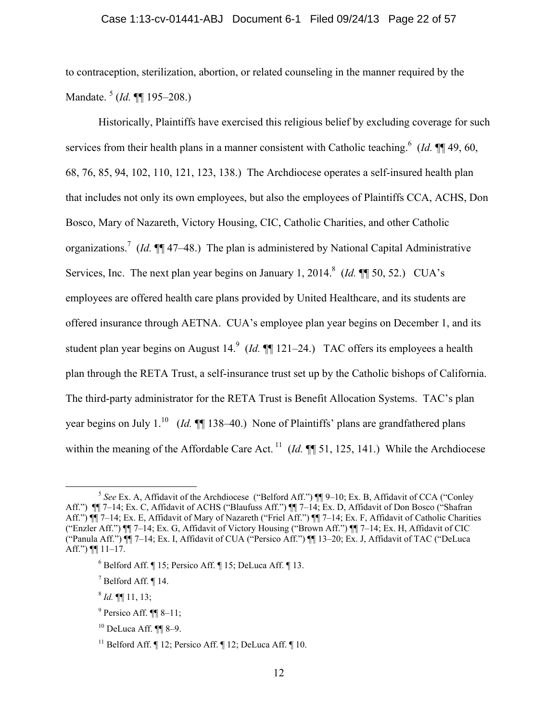to contraception, sterilization, abortion, or related counseling in the manner required by the Mandate. 5 (*Id.* ¶¶ 195–208.)

Historically, Plaintiffs have exercised this religious belief by excluding coverage for such services from their health plans in a manner consistent with Catholic teaching.<sup>6</sup> (*Id.* ¶¶ 49, 60, 68, 76, 85, 94, 102, 110, 121, 123, 138.) The Archdiocese operates a self-insured health plan that includes not only its own employees, but also the employees of Plaintiffs CCA, ACHS, Don Bosco, Mary of Nazareth, Victory Housing, CIC, Catholic Charities, and other Catholic organizations.<sup>7</sup> (*Id.*  $\P\P$ 47–48.) The plan is administered by National Capital Administrative Services, Inc. The next plan year begins on January 1, 2014.<sup>8</sup> (*Id.*  $\P$  50, 52.) CUA's employees are offered health care plans provided by United Healthcare, and its students are offered insurance through AETNA. CUA's employee plan year begins on December 1, and its student plan year begins on August 14.<sup>9</sup> (*Id.*  $\P\P$  121–24.) TAC offers its employees a health plan through the RETA Trust, a self-insurance trust set up by the Catholic bishops of California. The third-party administrator for the RETA Trust is Benefit Allocation Systems. TAC's plan year begins on July 1.<sup>10</sup> (*Id.* ¶ 138–40.) None of Plaintiffs' plans are grandfathered plans within the meaning of the Affordable Care Act.<sup>11</sup> (*Id.* ¶ 51, 125, 141.) While the Archdiocese

 $^{8}$  *Id.*  $\P\P$  11, 13;

 <sup>5</sup> *See* Ex. A, Affidavit of the Archdiocese ("Belford Aff.") ¶¶ 9–10; Ex. B, Affidavit of CCA ("Conley Aff.") ¶¶ 7–14; Ex. C, Affidavit of ACHS ("Blaufuss Aff.") ¶¶ 7–14; Ex. D, Affidavit of Don Bosco ("Shafran Aff.") ¶¶ 7–14; Ex. E, Affidavit of Mary of Nazareth ("Friel Aff.") ¶¶ 7–14; Ex. F, Affidavit of Catholic Charities ("Enzler Aff.") ¶¶ 7–14; Ex. G, Affidavit of Victory Housing ("Brown Aff.") ¶¶ 7–14; Ex. H, Affidavit of CIC ("Panula Aff.") ¶¶ 7–14; Ex. I, Affidavit of CUA ("Persico Aff.") ¶¶ 13–20; Ex. J, Affidavit of TAC ("DeLuca Aff.")  $\P$  11–17.

 $6$  Belford Aff.  $\P$  15; Persico Aff.  $\P$  15; DeLuca Aff.  $\P$  13.

 $^7$  Belford Aff. ¶ 14.

 $9$  Persico Aff.  $\P$  8-11;

 $10$  DeLuca Aff.  $\P\P$  8-9.

<sup>&</sup>lt;sup>11</sup> Belford Aff.  $\P$  12; Persico Aff.  $\P$  12; DeLuca Aff.  $\P$  10.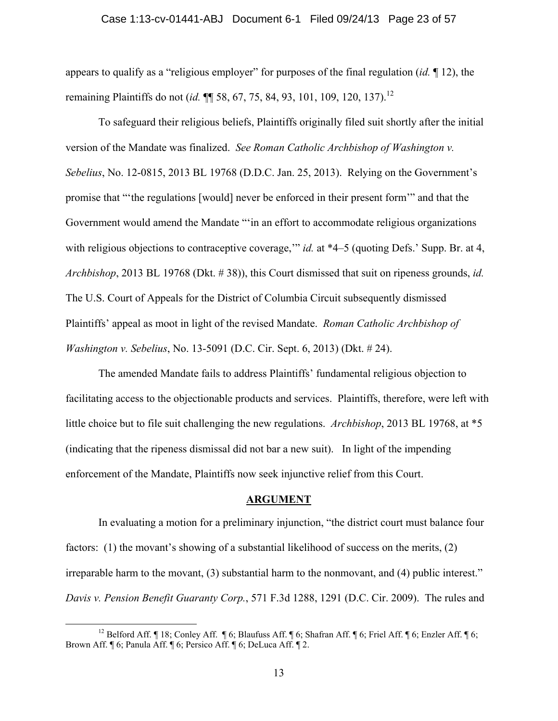#### Case 1:13-cv-01441-ABJ Document 6-1 Filed 09/24/13 Page 23 of 57

appears to qualify as a "religious employer" for purposes of the final regulation (*id.* ¶ 12), the remaining Plaintiffs do not (*id.*  $\P$  58, 67, 75, 84, 93, 101, 109, 120, 137).<sup>12</sup>

To safeguard their religious beliefs, Plaintiffs originally filed suit shortly after the initial version of the Mandate was finalized. *See Roman Catholic Archbishop of Washington v. Sebelius*, No. 12-0815, 2013 BL 19768 (D.D.C. Jan. 25, 2013). Relying on the Government's promise that "'the regulations [would] never be enforced in their present form'" and that the Government would amend the Mandate "'in an effort to accommodate religious organizations with religious objections to contraceptive coverage," *id.* at \*4–5 (quoting Defs.' Supp. Br. at 4, *Archbishop*, 2013 BL 19768 (Dkt. # 38)), this Court dismissed that suit on ripeness grounds, *id.* The U.S. Court of Appeals for the District of Columbia Circuit subsequently dismissed Plaintiffs' appeal as moot in light of the revised Mandate. *Roman Catholic Archbishop of Washington v. Sebelius*, No. 13-5091 (D.C. Cir. Sept. 6, 2013) (Dkt. # 24).

The amended Mandate fails to address Plaintiffs' fundamental religious objection to facilitating access to the objectionable products and services. Plaintiffs, therefore, were left with little choice but to file suit challenging the new regulations. *Archbishop*, 2013 BL 19768, at \*5 (indicating that the ripeness dismissal did not bar a new suit). In light of the impending enforcement of the Mandate, Plaintiffs now seek injunctive relief from this Court.

## **ARGUMENT**

In evaluating a motion for a preliminary injunction, "the district court must balance four factors: (1) the movant's showing of a substantial likelihood of success on the merits, (2) irreparable harm to the movant, (3) substantial harm to the nonmovant, and (4) public interest." *Davis v. Pension Benefit Guaranty Corp.*, 571 F.3d 1288, 1291 (D.C. Cir. 2009). The rules and

<sup>&</sup>lt;sup>12</sup> Belford Aff. ¶ 18; Conley Aff. ¶ 6; Blaufuss Aff. ¶ 6; Shafran Aff. ¶ 6; Friel Aff. ¶ 6; Enzler Aff. ¶ 6; Brown Aff. ¶ 6; Panula Aff. ¶ 6; Persico Aff. ¶ 6; DeLuca Aff. ¶ 2.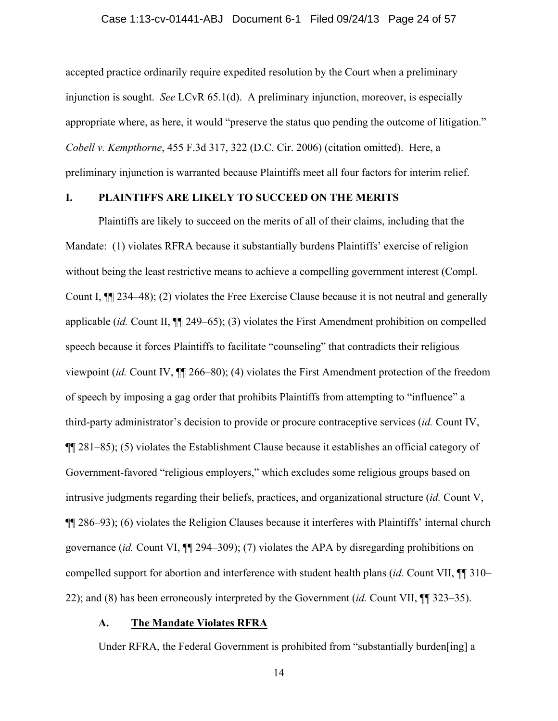## Case 1:13-cv-01441-ABJ Document 6-1 Filed 09/24/13 Page 24 of 57

accepted practice ordinarily require expedited resolution by the Court when a preliminary injunction is sought. *See* LCvR 65.1(d). A preliminary injunction, moreover, is especially appropriate where, as here, it would "preserve the status quo pending the outcome of litigation." *Cobell v. Kempthorne*, 455 F.3d 317, 322 (D.C. Cir. 2006) (citation omitted). Here, a preliminary injunction is warranted because Plaintiffs meet all four factors for interim relief.

## **I. PLAINTIFFS ARE LIKELY TO SUCCEED ON THE MERITS**

Plaintiffs are likely to succeed on the merits of all of their claims, including that the Mandate: (1) violates RFRA because it substantially burdens Plaintiffs' exercise of religion without being the least restrictive means to achieve a compelling government interest (Compl. Count I, ¶¶ 234–48); (2) violates the Free Exercise Clause because it is not neutral and generally applicable (*id.* Count II, ¶¶ 249–65); (3) violates the First Amendment prohibition on compelled speech because it forces Plaintiffs to facilitate "counseling" that contradicts their religious viewpoint (*id.* Count IV, ¶¶ 266–80); (4) violates the First Amendment protection of the freedom of speech by imposing a gag order that prohibits Plaintiffs from attempting to "influence" a third-party administrator's decision to provide or procure contraceptive services (*id.* Count IV, ¶¶ 281–85); (5) violates the Establishment Clause because it establishes an official category of Government-favored "religious employers," which excludes some religious groups based on intrusive judgments regarding their beliefs, practices, and organizational structure (*id.* Count V, ¶¶ 286–93); (6) violates the Religion Clauses because it interferes with Plaintiffs' internal church governance (*id.* Count VI, ¶¶ 294–309); (7) violates the APA by disregarding prohibitions on compelled support for abortion and interference with student health plans (*id.* Count VII, ¶¶ 310– 22); and (8) has been erroneously interpreted by the Government (*id.* Count VII, ¶¶ 323–35).

## **A. The Mandate Violates RFRA**

Under RFRA, the Federal Government is prohibited from "substantially burden[ing] a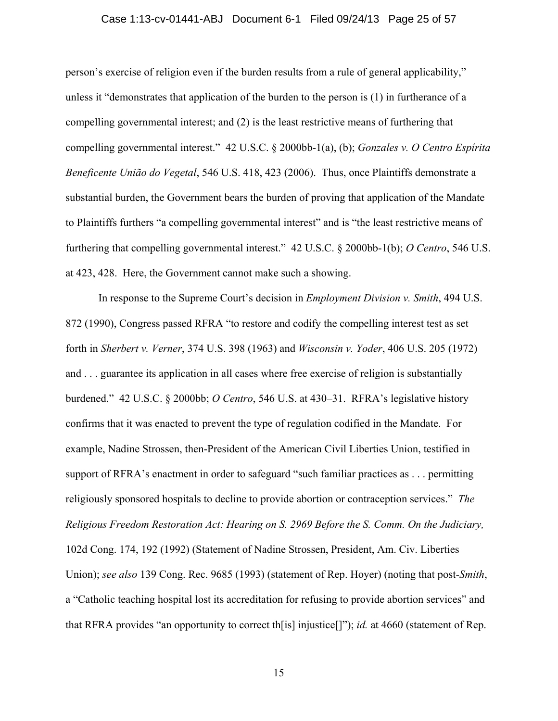## Case 1:13-cv-01441-ABJ Document 6-1 Filed 09/24/13 Page 25 of 57

person's exercise of religion even if the burden results from a rule of general applicability," unless it "demonstrates that application of the burden to the person is (1) in furtherance of a compelling governmental interest; and (2) is the least restrictive means of furthering that compelling governmental interest." 42 U.S.C. § 2000bb-1(a), (b); *Gonzales v. O Centro Espírita Beneficente União do Vegetal*, 546 U.S. 418, 423 (2006). Thus, once Plaintiffs demonstrate a substantial burden, the Government bears the burden of proving that application of the Mandate to Plaintiffs furthers "a compelling governmental interest" and is "the least restrictive means of furthering that compelling governmental interest." 42 U.S.C. § 2000bb-1(b); *O Centro*, 546 U.S. at 423, 428. Here, the Government cannot make such a showing.

In response to the Supreme Court's decision in *Employment Division v. Smith*, 494 U.S. 872 (1990), Congress passed RFRA "to restore and codify the compelling interest test as set forth in *Sherbert v. Verner*, 374 U.S. 398 (1963) and *Wisconsin v. Yoder*, 406 U.S. 205 (1972) and . . . guarantee its application in all cases where free exercise of religion is substantially burdened." 42 U.S.C. § 2000bb; *O Centro*, 546 U.S. at 430–31. RFRA's legislative history confirms that it was enacted to prevent the type of regulation codified in the Mandate. For example, Nadine Strossen, then-President of the American Civil Liberties Union, testified in support of RFRA's enactment in order to safeguard "such familiar practices as . . . permitting religiously sponsored hospitals to decline to provide abortion or contraception services." *The Religious Freedom Restoration Act: Hearing on S. 2969 Before the S. Comm. On the Judiciary,*  102d Cong. 174, 192 (1992) (Statement of Nadine Strossen, President, Am. Civ. Liberties Union); *see also* 139 Cong. Rec. 9685 (1993) (statement of Rep. Hoyer) (noting that post-*Smith*, a "Catholic teaching hospital lost its accreditation for refusing to provide abortion services" and that RFRA provides "an opportunity to correct th[is] injustice[]"); *id.* at 4660 (statement of Rep.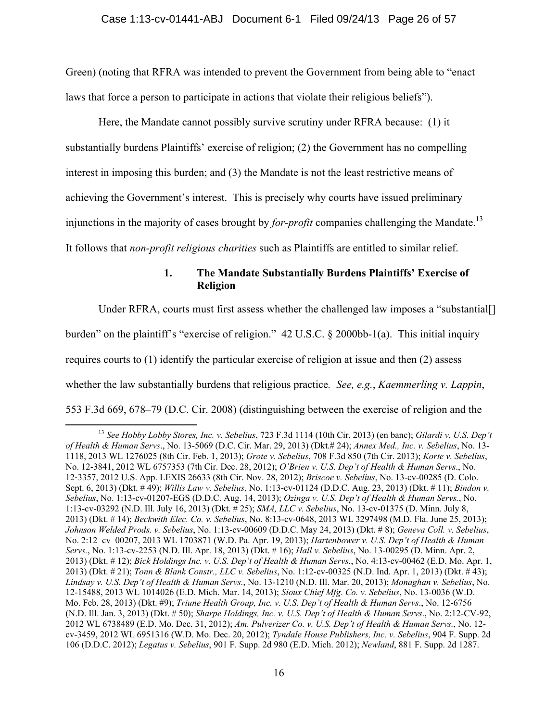Green) (noting that RFRA was intended to prevent the Government from being able to "enact laws that force a person to participate in actions that violate their religious beliefs").

Here, the Mandate cannot possibly survive scrutiny under RFRA because: (1) it substantially burdens Plaintiffs' exercise of religion; (2) the Government has no compelling interest in imposing this burden; and (3) the Mandate is not the least restrictive means of achieving the Government's interest. This is precisely why courts have issued preliminary injunctions in the majority of cases brought by *for-profit* companies challenging the Mandate.<sup>13</sup> It follows that *non-profit religious charities* such as Plaintiffs are entitled to similar relief.

# **1. The Mandate Substantially Burdens Plaintiffs' Exercise of Religion**

Under RFRA, courts must first assess whether the challenged law imposes a "substantial.

burden" on the plaintiff's "exercise of religion." 42 U.S.C. § 2000bb-1(a). This initial inquiry

requires courts to (1) identify the particular exercise of religion at issue and then (2) assess

whether the law substantially burdens that religious practice*. See, e.g.*, *Kaemmerling v. Lappin*,

553 F.3d 669, 678–79 (D.C. Cir. 2008) (distinguishing between the exercise of religion and the

 <sup>13</sup> *See Hobby Lobby Stores, Inc. v. Sebelius*, 723 F.3d 1114 (10th Cir. 2013) (en banc); *Gilardi v. U.S. Dep't of Health & Human Servs*., No. 13-5069 (D.C. Cir. Mar. 29, 2013) (Dkt.# 24); *Annex Med., Inc. v. Sebelius*, No. 13- 1118, 2013 WL 1276025 (8th Cir. Feb. 1, 2013); *Grote v. Sebelius*, 708 F.3d 850 (7th Cir. 2013); *Korte v. Sebelius*, No. 12-3841, 2012 WL 6757353 (7th Cir. Dec. 28, 2012); *O'Brien v. U.S. Dep't of Health & Human Servs*., No. 12‐3357, 2012 U.S. App. LEXIS 26633 (8th Cir. Nov. 28, 2012); *Briscoe v. Sebelius*, No. 13-cv-00285 (D. Colo. Sept. 6, 2013) (Dkt. # 49); *Willis Law v. Sebelius*, No. 1:13-cv-01124 (D.D.C. Aug. 23, 2013) (Dkt. # 11); *Bindon v. Sebelius*, No. 1:13-cv-01207-EGS (D.D.C. Aug. 14, 2013); *Ozinga v. U.S. Dep't of Health & Human Servs.*, No. 1:13-cv-03292 (N.D. Ill. July 16, 2013) (Dkt. # 25); *SMA, LLC v. Sebelius*, No. 13-cv-01375 (D. Minn. July 8, 2013) (Dkt. # 14); *Beckwith Elec. Co. v. Sebelius*, No. 8:13-cv-0648, 2013 WL 3297498 (M.D. Fla. June 25, 2013); *Johnson Welded Prods. v. Sebelius*, No. 1:13-cv-00609 (D.D.C. May 24, 2013) (Dkt. # 8); *Geneva Coll. v. Sebelius*, No. 2:12–cv–00207, 2013 WL 1703871 (W.D. Pa. Apr. 19, 2013); *Hartenbower v. U.S. Dep't of Health & Human Servs.*, No. 1:13-cv-2253 (N.D. Ill. Apr. 18, 2013) (Dkt. # 16); *Hall v. Sebelius*, No. 13-00295 (D. Minn. Apr. 2, 2013) (Dkt. # 12); *Bick Holdings Inc. v. U.S. Dep't of Health & Human Servs.*, No. 4:13-cv-00462 (E.D. Mo. Apr. 1, 2013) (Dkt. # 21); *Tonn & Blank Constr., LLC v. Sebelius*, No. 1:12-cv-00325 (N.D. Ind. Apr. 1, 2013) (Dkt. # 43); *Lindsay v. U.S. Dep't of Health & Human Servs.*, No. 13-1210 (N.D. Ill. Mar. 20, 2013); *Monaghan v. Sebelius*, No. 12-15488, 2013 WL 1014026 (E.D. Mich. Mar. 14, 2013); *Sioux Chief Mfg. Co. v. Sebelius*, No. 13-0036 (W.D. Mo. Feb. 28, 2013) (Dkt. #9); *Triune Health Group, Inc. v. U.S. Dep't of Health & Human Servs*., No. 12-6756 (N.D. Ill. Jan. 3, 2013) (Dkt. # 50); *Sharpe Holdings, Inc. v. U.S. Dep't of Health & Human Servs*., No. 2:12-CV-92, 2012 WL 6738489 (E.D. Mo. Dec. 31, 2012); *Am. Pulverizer Co. v. U.S. Dep't of Health & Human Servs.*, No. 12 cv-3459, 2012 WL 6951316 (W.D. Mo. Dec. 20, 2012); *Tyndale House Publishers, Inc. v. Sebelius*, 904 F. Supp. 2d 106 (D.D.C. 2012); *Legatus v. Sebelius*, 901 F. Supp. 2d 980 (E.D. Mich. 2012); *Newland*, 881 F. Supp. 2d 1287.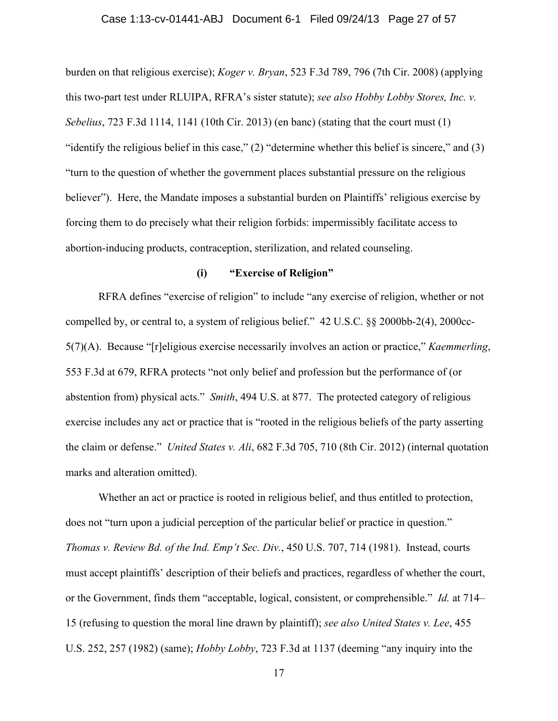## Case 1:13-cv-01441-ABJ Document 6-1 Filed 09/24/13 Page 27 of 57

burden on that religious exercise); *Koger v. Bryan*, 523 F.3d 789, 796 (7th Cir. 2008) (applying this two-part test under RLUIPA, RFRA's sister statute); *see also Hobby Lobby Stores, Inc. v. Sebelius*, 723 F.3d 1114, 1141 (10th Cir. 2013) (en banc) (stating that the court must (1) "identify the religious belief in this case," (2) "determine whether this belief is sincere," and (3) "turn to the question of whether the government places substantial pressure on the religious believer"). Here, the Mandate imposes a substantial burden on Plaintiffs' religious exercise by forcing them to do precisely what their religion forbids: impermissibly facilitate access to abortion-inducing products, contraception, sterilization, and related counseling.

## **(i) "Exercise of Religion"**

RFRA defines "exercise of religion" to include "any exercise of religion, whether or not compelled by, or central to, a system of religious belief." 42 U.S.C. §§ 2000bb-2(4), 2000cc-5(7)(A). Because "[r]eligious exercise necessarily involves an action or practice," *Kaemmerling*, 553 F.3d at 679, RFRA protects "not only belief and profession but the performance of (or abstention from) physical acts." *Smith*, 494 U.S. at 877. The protected category of religious exercise includes any act or practice that is "rooted in the religious beliefs of the party asserting the claim or defense." *United States v. Ali*, 682 F.3d 705, 710 (8th Cir. 2012) (internal quotation marks and alteration omitted).

Whether an act or practice is rooted in religious belief, and thus entitled to protection, does not "turn upon a judicial perception of the particular belief or practice in question." *Thomas v. Review Bd. of the Ind. Emp't Sec. Div.*, 450 U.S. 707, 714 (1981). Instead, courts must accept plaintiffs' description of their beliefs and practices, regardless of whether the court, or the Government, finds them "acceptable, logical, consistent, or comprehensible." *Id.* at 714– 15 (refusing to question the moral line drawn by plaintiff); *see also United States v. Lee*, 455 U.S. 252, 257 (1982) (same); *Hobby Lobby*, 723 F.3d at 1137 (deeming "any inquiry into the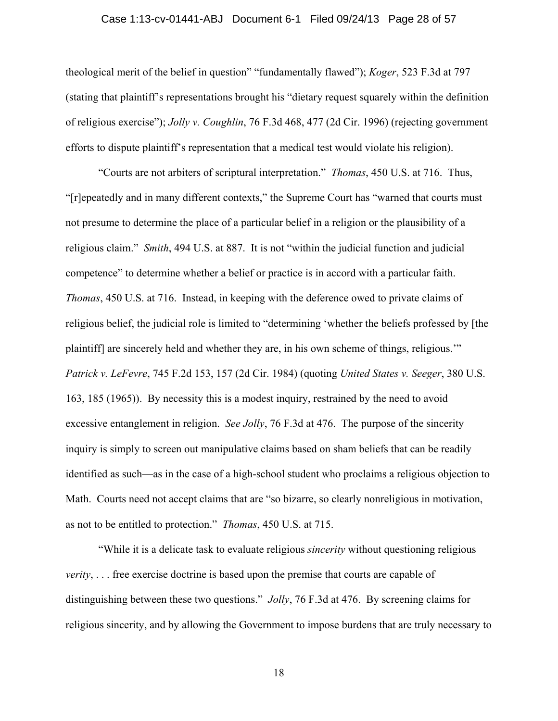## Case 1:13-cv-01441-ABJ Document 6-1 Filed 09/24/13 Page 28 of 57

theological merit of the belief in question" "fundamentally flawed"); *Koger*, 523 F.3d at 797 (stating that plaintiff's representations brought his "dietary request squarely within the definition of religious exercise"); *Jolly v. Coughlin*, 76 F.3d 468, 477 (2d Cir. 1996) (rejecting government efforts to dispute plaintiff's representation that a medical test would violate his religion).

"Courts are not arbiters of scriptural interpretation." *Thomas*, 450 U.S. at 716. Thus, "[r]epeatedly and in many different contexts," the Supreme Court has "warned that courts must not presume to determine the place of a particular belief in a religion or the plausibility of a religious claim." *Smith*, 494 U.S. at 887. It is not "within the judicial function and judicial competence" to determine whether a belief or practice is in accord with a particular faith. *Thomas*, 450 U.S. at 716. Instead, in keeping with the deference owed to private claims of religious belief, the judicial role is limited to "determining 'whether the beliefs professed by [the plaintiff] are sincerely held and whether they are, in his own scheme of things, religious.'" *Patrick v. LeFevre*, 745 F.2d 153, 157 (2d Cir. 1984) (quoting *United States v. Seeger*, 380 U.S. 163, 185 (1965)). By necessity this is a modest inquiry, restrained by the need to avoid excessive entanglement in religion. *See Jolly*, 76 F.3d at 476. The purpose of the sincerity inquiry is simply to screen out manipulative claims based on sham beliefs that can be readily identified as such—as in the case of a high-school student who proclaims a religious objection to Math. Courts need not accept claims that are "so bizarre, so clearly nonreligious in motivation, as not to be entitled to protection." *Thomas*, 450 U.S. at 715.

"While it is a delicate task to evaluate religious *sincerity* without questioning religious *verity*, ... free exercise doctrine is based upon the premise that courts are capable of distinguishing between these two questions." *Jolly*, 76 F.3d at 476. By screening claims for religious sincerity, and by allowing the Government to impose burdens that are truly necessary to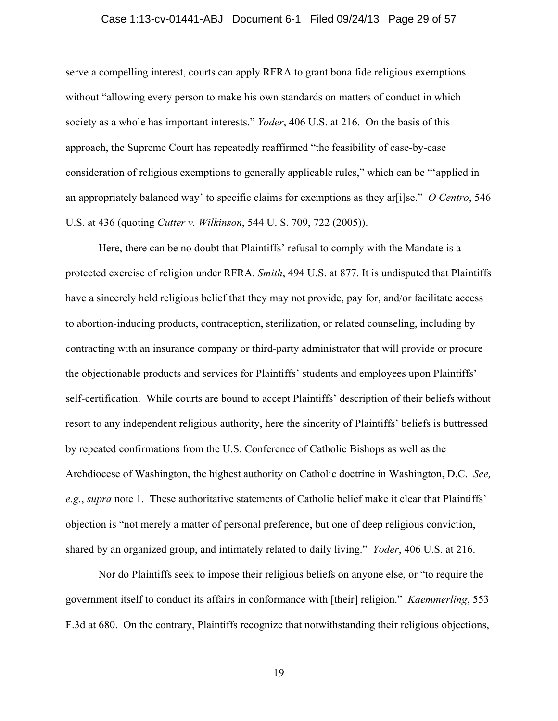## Case 1:13-cv-01441-ABJ Document 6-1 Filed 09/24/13 Page 29 of 57

serve a compelling interest, courts can apply RFRA to grant bona fide religious exemptions without "allowing every person to make his own standards on matters of conduct in which society as a whole has important interests." *Yoder*, 406 U.S. at 216. On the basis of this approach, the Supreme Court has repeatedly reaffirmed "the feasibility of case-by-case consideration of religious exemptions to generally applicable rules," which can be "'applied in an appropriately balanced way' to specific claims for exemptions as they ar[i]se." *O Centro*, 546 U.S. at 436 (quoting *Cutter v. Wilkinson*, 544 U. S. 709, 722 (2005)).

Here, there can be no doubt that Plaintiffs' refusal to comply with the Mandate is a protected exercise of religion under RFRA. *Smith*, 494 U.S. at 877. It is undisputed that Plaintiffs have a sincerely held religious belief that they may not provide, pay for, and/or facilitate access to abortion-inducing products, contraception, sterilization, or related counseling, including by contracting with an insurance company or third-party administrator that will provide or procure the objectionable products and services for Plaintiffs' students and employees upon Plaintiffs' self-certification. While courts are bound to accept Plaintiffs' description of their beliefs without resort to any independent religious authority, here the sincerity of Plaintiffs' beliefs is buttressed by repeated confirmations from the U.S. Conference of Catholic Bishops as well as the Archdiocese of Washington, the highest authority on Catholic doctrine in Washington, D.C. *See, e.g.*, *supra* note 1. These authoritative statements of Catholic belief make it clear that Plaintiffs' objection is "not merely a matter of personal preference, but one of deep religious conviction, shared by an organized group, and intimately related to daily living." *Yoder*, 406 U.S. at 216.

Nor do Plaintiffs seek to impose their religious beliefs on anyone else, or "to require the government itself to conduct its affairs in conformance with [their] religion." *Kaemmerling*, 553 F.3d at 680. On the contrary, Plaintiffs recognize that notwithstanding their religious objections,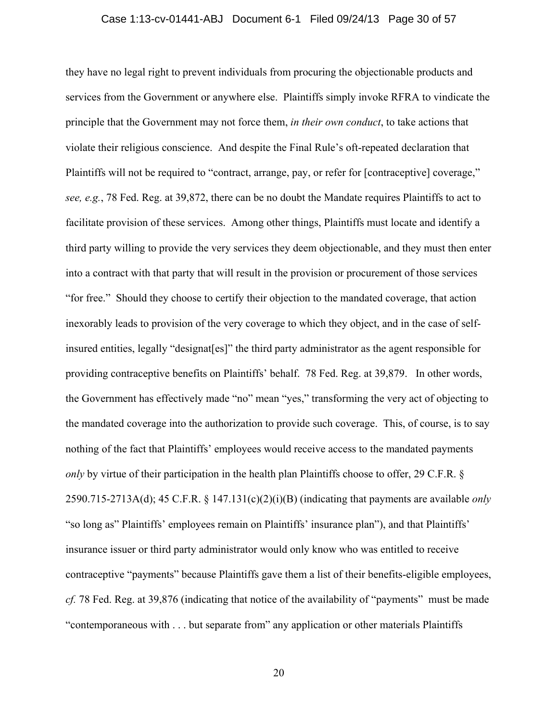## Case 1:13-cv-01441-ABJ Document 6-1 Filed 09/24/13 Page 30 of 57

they have no legal right to prevent individuals from procuring the objectionable products and services from the Government or anywhere else. Plaintiffs simply invoke RFRA to vindicate the principle that the Government may not force them, *in their own conduct*, to take actions that violate their religious conscience. And despite the Final Rule's oft-repeated declaration that Plaintiffs will not be required to "contract, arrange, pay, or refer for [contraceptive] coverage," *see, e.g.*, 78 Fed. Reg. at 39,872, there can be no doubt the Mandate requires Plaintiffs to act to facilitate provision of these services. Among other things, Plaintiffs must locate and identify a third party willing to provide the very services they deem objectionable, and they must then enter into a contract with that party that will result in the provision or procurement of those services "for free." Should they choose to certify their objection to the mandated coverage, that action inexorably leads to provision of the very coverage to which they object, and in the case of selfinsured entities, legally "designat[es]" the third party administrator as the agent responsible for providing contraceptive benefits on Plaintiffs' behalf. 78 Fed. Reg. at 39,879. In other words, the Government has effectively made "no" mean "yes," transforming the very act of objecting to the mandated coverage into the authorization to provide such coverage. This, of course, is to say nothing of the fact that Plaintiffs' employees would receive access to the mandated payments *only* by virtue of their participation in the health plan Plaintiffs choose to offer, 29 C.F.R. § 2590.715-2713A(d); 45 C.F.R. § 147.131(c)(2)(i)(B) (indicating that payments are available *only*  "so long as" Plaintiffs' employees remain on Plaintiffs' insurance plan"), and that Plaintiffs' insurance issuer or third party administrator would only know who was entitled to receive contraceptive "payments" because Plaintiffs gave them a list of their benefits-eligible employees, *cf.* 78 Fed. Reg. at 39,876 (indicating that notice of the availability of "payments" must be made "contemporaneous with . . . but separate from" any application or other materials Plaintiffs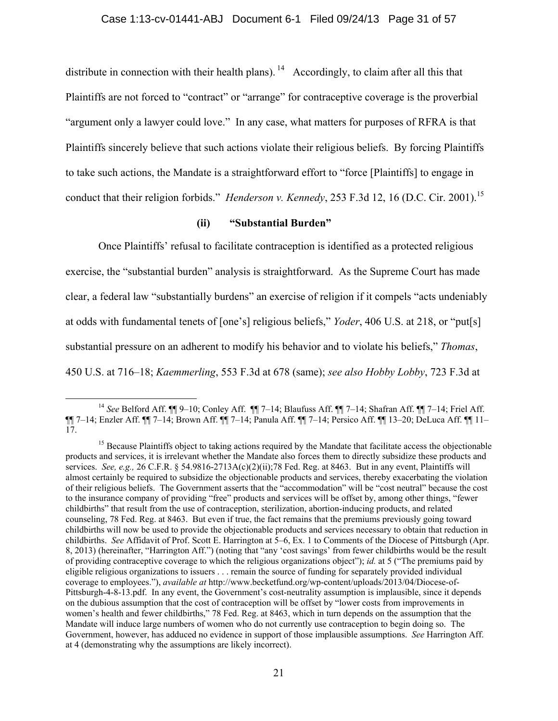distribute in connection with their health plans). <sup>14</sup> Accordingly, to claim after all this that Plaintiffs are not forced to "contract" or "arrange" for contraceptive coverage is the proverbial "argument only a lawyer could love." In any case, what matters for purposes of RFRA is that Plaintiffs sincerely believe that such actions violate their religious beliefs. By forcing Plaintiffs to take such actions, the Mandate is a straightforward effort to "force [Plaintiffs] to engage in conduct that their religion forbids." *Henderson v. Kennedy*, 253 F.3d 12, 16 (D.C. Cir. 2001).<sup>15</sup>

## **(ii) "Substantial Burden"**

Once Plaintiffs' refusal to facilitate contraception is identified as a protected religious exercise, the "substantial burden" analysis is straightforward. As the Supreme Court has made clear, a federal law "substantially burdens" an exercise of religion if it compels "acts undeniably at odds with fundamental tenets of [one's] religious beliefs," *Yoder*, 406 U.S. at 218, or "put[s] substantial pressure on an adherent to modify his behavior and to violate his beliefs," *Thomas*, 450 U.S. at 716–18; *Kaemmerling*, 553 F.3d at 678 (same); *see also Hobby Lobby*, 723 F.3d at

 <sup>14</sup> *See* Belford Aff. ¶¶ 9–10; Conley Aff. ¶¶ 7–14; Blaufuss Aff. ¶¶ 7–14; Shafran Aff. ¶¶ 7–14; Friel Aff. ¶¶ 7–14; Enzler Aff. ¶¶ 7–14; Brown Aff. ¶¶ 7–14; Panula Aff. ¶¶ 7–14; Persico Aff. ¶¶ 13–20; DeLuca Aff. ¶¶ 11– 17.

<sup>&</sup>lt;sup>15</sup> Because Plaintiffs object to taking actions required by the Mandate that facilitate access the objectionable products and services, it is irrelevant whether the Mandate also forces them to directly subsidize these products and services. *See, e.g.,* 26 C.F.R. § 54.9816-2713A(c)(2)(ii);78 Fed. Reg. at 8463. But in any event, Plaintiffs will almost certainly be required to subsidize the objectionable products and services, thereby exacerbating the violation of their religious beliefs. The Government asserts that the "accommodation" will be "cost neutral" because the cost to the insurance company of providing "free" products and services will be offset by, among other things, "fewer childbirths" that result from the use of contraception, sterilization, abortion-inducing products, and related counseling, 78 Fed. Reg. at 8463. But even if true, the fact remains that the premiums previously going toward childbirths will now be used to provide the objectionable products and services necessary to obtain that reduction in childbirths. *See* Affidavit of Prof. Scott E. Harrington at 5–6, Ex. 1 to Comments of the Diocese of Pittsburgh (Apr. 8, 2013) (hereinafter, "Harrington Aff.") (noting that "any 'cost savings' from fewer childbirths would be the result of providing contraceptive coverage to which the religious organizations object"); *id.* at 5 ("The premiums paid by eligible religious organizations to issuers . . . remain the source of funding for separately provided individual coverage to employees."), *available at* http://www.becketfund.org/wp-content/uploads/2013/04/Diocese-of-Pittsburgh-4-8-13.pdf. In any event, the Government's cost-neutrality assumption is implausible, since it depends on the dubious assumption that the cost of contraception will be offset by "lower costs from improvements in women's health and fewer childbirths," 78 Fed. Reg. at 8463, which in turn depends on the assumption that the Mandate will induce large numbers of women who do not currently use contraception to begin doing so. The Government, however, has adduced no evidence in support of those implausible assumptions. *See* Harrington Aff. at 4 (demonstrating why the assumptions are likely incorrect).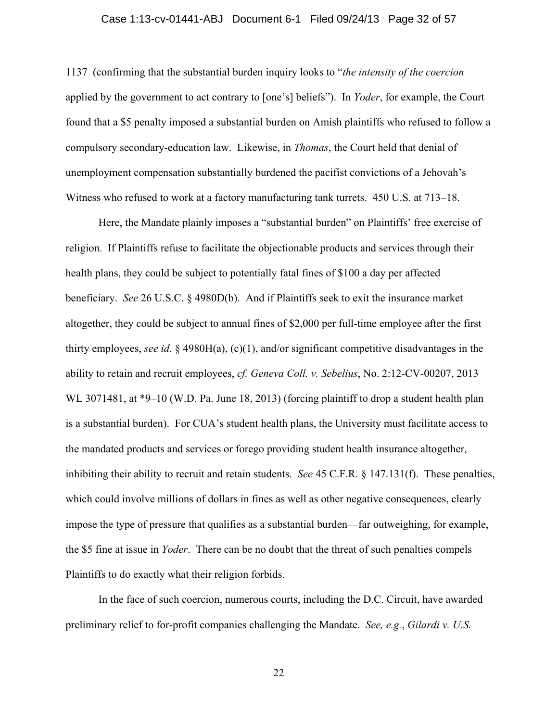## Case 1:13-cv-01441-ABJ Document 6-1 Filed 09/24/13 Page 32 of 57

1137 (confirming that the substantial burden inquiry looks to "*the intensity of the coercion* applied by the government to act contrary to [one's] beliefs"). In *Yoder*, for example, the Court found that a \$5 penalty imposed a substantial burden on Amish plaintiffs who refused to follow a compulsory secondary-education law. Likewise, in *Thomas*, the Court held that denial of unemployment compensation substantially burdened the pacifist convictions of a Jehovah's Witness who refused to work at a factory manufacturing tank turrets. 450 U.S. at 713–18.

Here, the Mandate plainly imposes a "substantial burden" on Plaintiffs' free exercise of religion. If Plaintiffs refuse to facilitate the objectionable products and services through their health plans, they could be subject to potentially fatal fines of \$100 a day per affected beneficiary. *See* 26 U.S.C. § 4980D(b). And if Plaintiffs seek to exit the insurance market altogether, they could be subject to annual fines of \$2,000 per full-time employee after the first thirty employees, *see id.* § 4980H(a), (c)(1), and/or significant competitive disadvantages in the ability to retain and recruit employees, *cf. Geneva Coll. v. Sebelius*, No. 2:12-CV-00207, 2013 WL 3071481, at \*9–10 (W.D. Pa. June 18, 2013) (forcing plaintiff to drop a student health plan is a substantial burden). For CUA's student health plans, the University must facilitate access to the mandated products and services or forego providing student health insurance altogether, inhibiting their ability to recruit and retain students. *See* 45 C.F.R. § 147.131(f). These penalties, which could involve millions of dollars in fines as well as other negative consequences, clearly impose the type of pressure that qualifies as a substantial burden—far outweighing, for example, the \$5 fine at issue in *Yoder*. There can be no doubt that the threat of such penalties compels Plaintiffs to do exactly what their religion forbids.

In the face of such coercion, numerous courts, including the D.C. Circuit, have awarded preliminary relief to for-profit companies challenging the Mandate. *See, e.g.*, *Gilardi v. U.S.*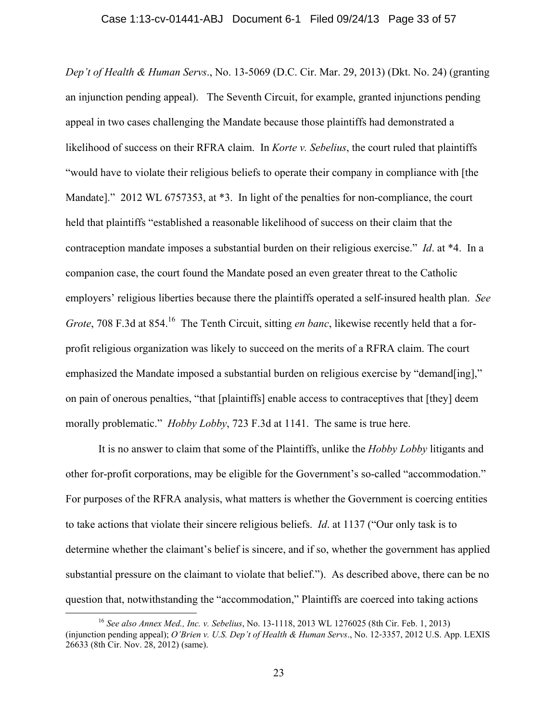*Dep't of Health & Human Servs*., No. 13-5069 (D.C. Cir. Mar. 29, 2013) (Dkt. No. 24) (granting an injunction pending appeal). The Seventh Circuit, for example, granted injunctions pending appeal in two cases challenging the Mandate because those plaintiffs had demonstrated a likelihood of success on their RFRA claim. In *Korte v. Sebelius*, the court ruled that plaintiffs "would have to violate their religious beliefs to operate their company in compliance with [the Mandate]." 2012 WL 6757353, at \*3. In light of the penalties for non-compliance, the court held that plaintiffs "established a reasonable likelihood of success on their claim that the contraception mandate imposes a substantial burden on their religious exercise." *Id*. at \*4. In a companion case, the court found the Mandate posed an even greater threat to the Catholic employers' religious liberties because there the plaintiffs operated a self-insured health plan. *See Grote*, 708 F.3d at 854.<sup>16</sup> The Tenth Circuit, sitting *en banc*, likewise recently held that a forprofit religious organization was likely to succeed on the merits of a RFRA claim. The court emphasized the Mandate imposed a substantial burden on religious exercise by "demand[ing]," on pain of onerous penalties, "that [plaintiffs] enable access to contraceptives that [they] deem morally problematic." *Hobby Lobby*, 723 F.3d at 1141. The same is true here.

It is no answer to claim that some of the Plaintiffs, unlike the *Hobby Lobby* litigants and other for-profit corporations, may be eligible for the Government's so-called "accommodation." For purposes of the RFRA analysis, what matters is whether the Government is coercing entities to take actions that violate their sincere religious beliefs. *Id*. at 1137 ("Our only task is to determine whether the claimant's belief is sincere, and if so, whether the government has applied substantial pressure on the claimant to violate that belief."). As described above, there can be no question that, notwithstanding the "accommodation," Plaintiffs are coerced into taking actions

 <sup>16</sup> *See also Annex Med., Inc. v. Sebelius*, No. 13-1118, 2013 WL 1276025 (8th Cir. Feb. 1, 2013) (injunction pending appeal); *O'Brien v. U.S. Dep't of Health & Human Servs*., No. 12‐3357, 2012 U.S. App. LEXIS 26633 (8th Cir. Nov. 28, 2012) (same).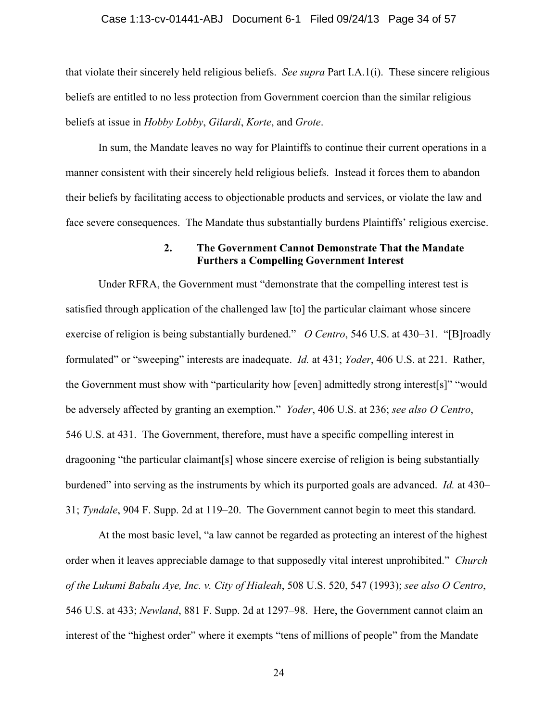#### Case 1:13-cv-01441-ABJ Document 6-1 Filed 09/24/13 Page 34 of 57

that violate their sincerely held religious beliefs. *See supra* Part I.A.1(i). These sincere religious beliefs are entitled to no less protection from Government coercion than the similar religious beliefs at issue in *Hobby Lobby*, *Gilardi*, *Korte*, and *Grote*.

In sum, the Mandate leaves no way for Plaintiffs to continue their current operations in a manner consistent with their sincerely held religious beliefs. Instead it forces them to abandon their beliefs by facilitating access to objectionable products and services, or violate the law and face severe consequences. The Mandate thus substantially burdens Plaintiffs' religious exercise.

## **2. The Government Cannot Demonstrate That the Mandate Furthers a Compelling Government Interest**

Under RFRA, the Government must "demonstrate that the compelling interest test is satisfied through application of the challenged law [to] the particular claimant whose sincere exercise of religion is being substantially burdened." *O Centro*, 546 U.S. at 430–31. "[B]roadly formulated" or "sweeping" interests are inadequate. *Id.* at 431; *Yoder*, 406 U.S. at 221. Rather, the Government must show with "particularity how [even] admittedly strong interest[s]" "would be adversely affected by granting an exemption." *Yoder*, 406 U.S. at 236; *see also O Centro*, 546 U.S. at 431. The Government, therefore, must have a specific compelling interest in dragooning "the particular claimant[s] whose sincere exercise of religion is being substantially burdened" into serving as the instruments by which its purported goals are advanced.*Id.* at 430– 31; *Tyndale*, 904 F. Supp. 2d at 119–20. The Government cannot begin to meet this standard.

At the most basic level, "a law cannot be regarded as protecting an interest of the highest order when it leaves appreciable damage to that supposedly vital interest unprohibited." *Church of the Lukumi Babalu Aye, Inc. v. City of Hialeah*, 508 U.S. 520, 547 (1993); *see also O Centro*, 546 U.S. at 433; *Newland*, 881 F. Supp. 2d at 1297–98. Here, the Government cannot claim an interest of the "highest order" where it exempts "tens of millions of people" from the Mandate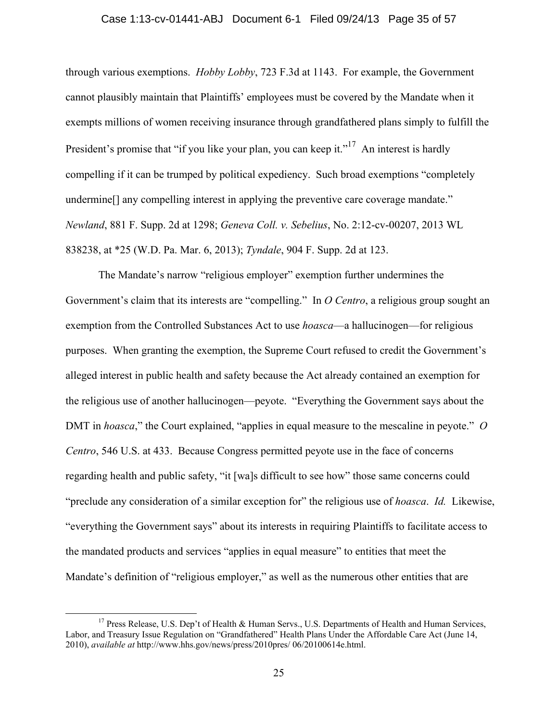## Case 1:13-cv-01441-ABJ Document 6-1 Filed 09/24/13 Page 35 of 57

through various exemptions. *Hobby Lobby*, 723 F.3d at 1143. For example, the Government cannot plausibly maintain that Plaintiffs' employees must be covered by the Mandate when it exempts millions of women receiving insurance through grandfathered plans simply to fulfill the President's promise that "if you like your plan, you can keep it."<sup>17</sup> An interest is hardly compelling if it can be trumped by political expediency. Such broad exemptions "completely undermine[] any compelling interest in applying the preventive care coverage mandate." *Newland*, 881 F. Supp. 2d at 1298; *Geneva Coll. v. Sebelius*, No. 2:12-cv-00207, 2013 WL 838238, at \*25 (W.D. Pa. Mar. 6, 2013); *Tyndale*, 904 F. Supp. 2d at 123.

The Mandate's narrow "religious employer" exemption further undermines the Government's claim that its interests are "compelling." In *O Centro*, a religious group sought an exemption from the Controlled Substances Act to use *hoasca*—a hallucinogen—for religious purposes. When granting the exemption, the Supreme Court refused to credit the Government's alleged interest in public health and safety because the Act already contained an exemption for the religious use of another hallucinogen—peyote. "Everything the Government says about the DMT in *hoasca*," the Court explained, "applies in equal measure to the mescaline in peyote." *O Centro*, 546 U.S. at 433. Because Congress permitted peyote use in the face of concerns regarding health and public safety, "it [wa]s difficult to see how" those same concerns could "preclude any consideration of a similar exception for" the religious use of *hoasca*. *Id.* Likewise, "everything the Government says" about its interests in requiring Plaintiffs to facilitate access to the mandated products and services "applies in equal measure" to entities that meet the Mandate's definition of "religious employer," as well as the numerous other entities that are

<sup>&</sup>lt;sup>17</sup> Press Release, U.S. Dep't of Health & Human Servs., U.S. Departments of Health and Human Services, Labor, and Treasury Issue Regulation on "Grandfathered" Health Plans Under the Affordable Care Act (June 14, 2010), *available at* http://www.hhs.gov/news/press/2010pres/ 06/20100614e.html.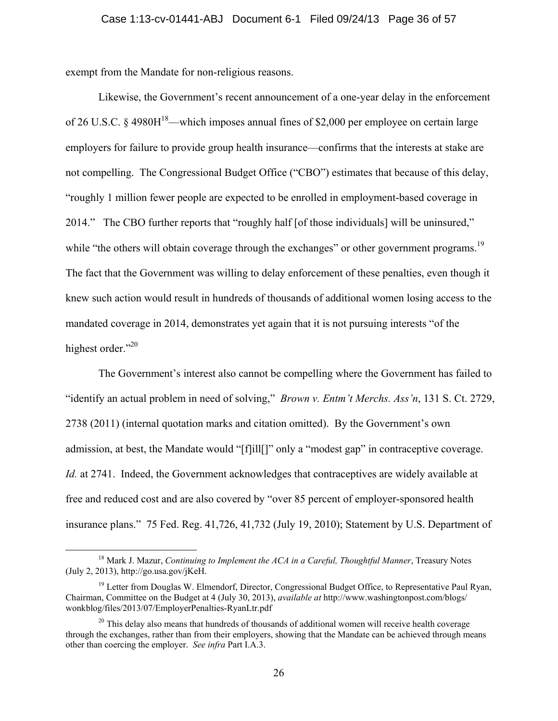exempt from the Mandate for non-religious reasons.

Likewise, the Government's recent announcement of a one-year delay in the enforcement of 26 U.S.C. § 4980H<sup>18</sup>—which imposes annual fines of \$2,000 per employee on certain large employers for failure to provide group health insurance—confirms that the interests at stake are not compelling. The Congressional Budget Office ("CBO") estimates that because of this delay, "roughly 1 million fewer people are expected to be enrolled in employment-based coverage in 2014." The CBO further reports that "roughly half [of those individuals] will be uninsured," while "the others will obtain coverage through the exchanges" or other government programs.<sup>19</sup> The fact that the Government was willing to delay enforcement of these penalties, even though it knew such action would result in hundreds of thousands of additional women losing access to the mandated coverage in 2014, demonstrates yet again that it is not pursuing interests "of the highest order." $^{20}$ 

The Government's interest also cannot be compelling where the Government has failed to "identify an actual problem in need of solving," *Brown v. Entm't Merchs. Ass'n*, 131 S. Ct. 2729, 2738 (2011) (internal quotation marks and citation omitted). By the Government's own admission, at best, the Mandate would "[f]ill[]" only a "modest gap" in contraceptive coverage. *Id.* at 2741. Indeed, the Government acknowledges that contraceptives are widely available at free and reduced cost and are also covered by "over 85 percent of employer-sponsored health insurance plans." 75 Fed. Reg. 41,726, 41,732 (July 19, 2010); Statement by U.S. Department of

 <sup>18</sup> Mark J. Mazur, *Continuing to Implement the ACA in a Careful, Thoughtful Manner*, Treasury Notes (July 2, 2013), http://go.usa.gov/jKeH.

<sup>&</sup>lt;sup>19</sup> Letter from Douglas W. Elmendorf, Director, Congressional Budget Office, to Representative Paul Ryan, Chairman, Committee on the Budget at 4 (July 30, 2013), *available at* http://www.washingtonpost.com/blogs/ wonkblog/files/2013/07/EmployerPenalties-RyanLtr.pdf

 $20$  This delay also means that hundreds of thousands of additional women will receive health coverage through the exchanges, rather than from their employers, showing that the Mandate can be achieved through means other than coercing the employer. *See infra* Part I.A.3.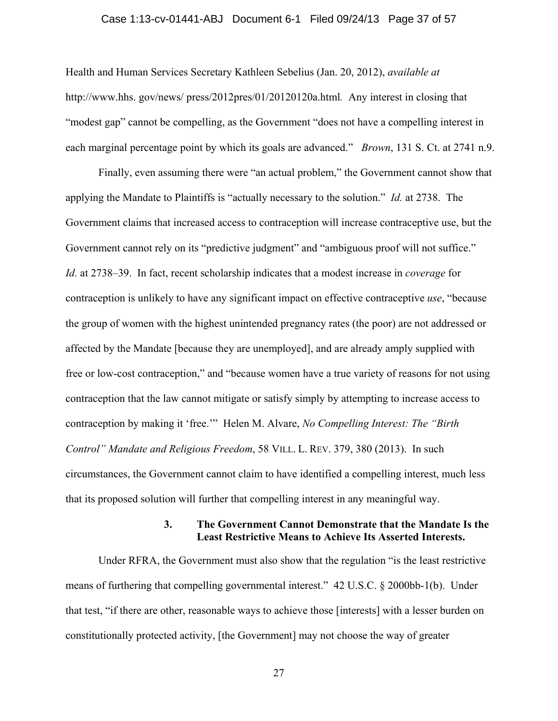## Case 1:13-cv-01441-ABJ Document 6-1 Filed 09/24/13 Page 37 of 57

Health and Human Services Secretary Kathleen Sebelius (Jan. 20, 2012), *available at* http://www.hhs. gov/news/ press/2012pres/01/20120120a.html*.* Any interest in closing that "modest gap" cannot be compelling, as the Government "does not have a compelling interest in each marginal percentage point by which its goals are advanced." *Brown*, 131 S. Ct. at 2741 n.9.

Finally, even assuming there were "an actual problem," the Government cannot show that applying the Mandate to Plaintiffs is "actually necessary to the solution." *Id.* at 2738. The Government claims that increased access to contraception will increase contraceptive use, but the Government cannot rely on its "predictive judgment" and "ambiguous proof will not suffice." *Id.* at 2738–39. In fact, recent scholarship indicates that a modest increase in *coverage* for contraception is unlikely to have any significant impact on effective contraceptive *use*, "because the group of women with the highest unintended pregnancy rates (the poor) are not addressed or affected by the Mandate [because they are unemployed], and are already amply supplied with free or low-cost contraception," and "because women have a true variety of reasons for not using contraception that the law cannot mitigate or satisfy simply by attempting to increase access to contraception by making it 'free.'" Helen M. Alvare, *No Compelling Interest: The "Birth Control" Mandate and Religious Freedom*, 58 VILL. L. REV. 379, 380 (2013). In such circumstances, the Government cannot claim to have identified a compelling interest, much less that its proposed solution will further that compelling interest in any meaningful way.

## **3. The Government Cannot Demonstrate that the Mandate Is the Least Restrictive Means to Achieve Its Asserted Interests.**

Under RFRA, the Government must also show that the regulation "is the least restrictive means of furthering that compelling governmental interest." 42 U.S.C. § 2000bb-1(b). Under that test, "if there are other, reasonable ways to achieve those [interests] with a lesser burden on constitutionally protected activity, [the Government] may not choose the way of greater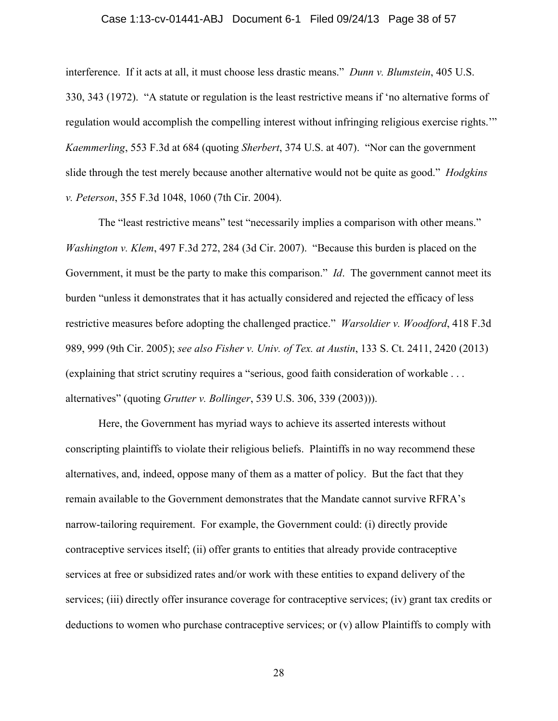### Case 1:13-cv-01441-ABJ Document 6-1 Filed 09/24/13 Page 38 of 57

interference. If it acts at all, it must choose less drastic means." *Dunn v. Blumstein*, 405 U.S. 330, 343 (1972). "A statute or regulation is the least restrictive means if 'no alternative forms of regulation would accomplish the compelling interest without infringing religious exercise rights.'" *Kaemmerling*, 553 F.3d at 684 (quoting *Sherbert*, 374 U.S. at 407). "Nor can the government slide through the test merely because another alternative would not be quite as good." *Hodgkins v. Peterson*, 355 F.3d 1048, 1060 (7th Cir. 2004).

The "least restrictive means" test "necessarily implies a comparison with other means." *Washington v. Klem*, 497 F.3d 272, 284 (3d Cir. 2007). "Because this burden is placed on the Government, it must be the party to make this comparison." *Id*. The government cannot meet its burden "unless it demonstrates that it has actually considered and rejected the efficacy of less restrictive measures before adopting the challenged practice." *Warsoldier v. Woodford*, 418 F.3d 989, 999 (9th Cir. 2005); *see also Fisher v. Univ. of Tex. at Austin*, 133 S. Ct. 2411, 2420 (2013) (explaining that strict scrutiny requires a "serious, good faith consideration of workable . . . alternatives" (quoting *Grutter v. Bollinger*, 539 U.S. 306, 339 (2003))).

Here, the Government has myriad ways to achieve its asserted interests without conscripting plaintiffs to violate their religious beliefs. Plaintiffs in no way recommend these alternatives, and, indeed, oppose many of them as a matter of policy. But the fact that they remain available to the Government demonstrates that the Mandate cannot survive RFRA's narrow-tailoring requirement. For example, the Government could: (i) directly provide contraceptive services itself; (ii) offer grants to entities that already provide contraceptive services at free or subsidized rates and/or work with these entities to expand delivery of the services; (iii) directly offer insurance coverage for contraceptive services; (iv) grant tax credits or deductions to women who purchase contraceptive services; or (v) allow Plaintiffs to comply with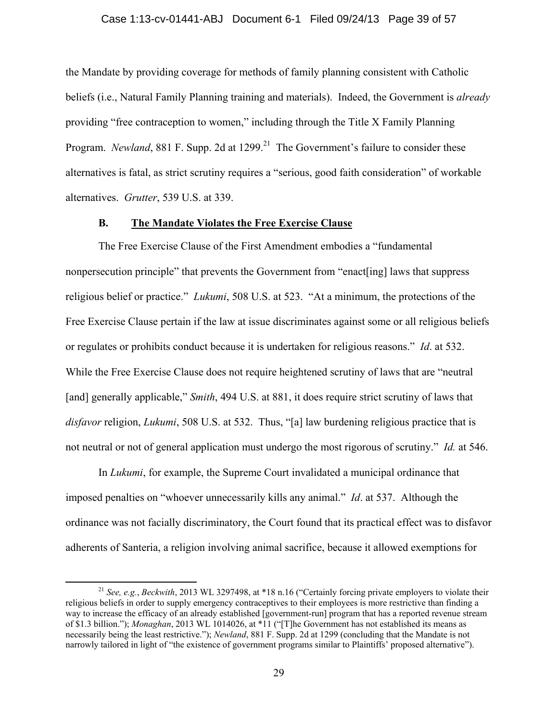## Case 1:13-cv-01441-ABJ Document 6-1 Filed 09/24/13 Page 39 of 57

the Mandate by providing coverage for methods of family planning consistent with Catholic beliefs (i.e., Natural Family Planning training and materials). Indeed, the Government is *already* providing "free contraception to women," including through the Title X Family Planning Program. *Newland*, 881 F. Supp. 2d at 1299.<sup>21</sup> The Government's failure to consider these alternatives is fatal, as strict scrutiny requires a "serious, good faith consideration" of workable alternatives. *Grutter*, 539 U.S. at 339.

## **B. The Mandate Violates the Free Exercise Clause**

The Free Exercise Clause of the First Amendment embodies a "fundamental nonpersecution principle" that prevents the Government from "enact[ing] laws that suppress religious belief or practice." *Lukumi*, 508 U.S. at 523. "At a minimum, the protections of the Free Exercise Clause pertain if the law at issue discriminates against some or all religious beliefs or regulates or prohibits conduct because it is undertaken for religious reasons." *Id*. at 532. While the Free Exercise Clause does not require heightened scrutiny of laws that are "neutral [and] generally applicable," *Smith*, 494 U.S. at 881, it does require strict scrutiny of laws that *disfavor* religion, *Lukumi*, 508 U.S. at 532. Thus, "[a] law burdening religious practice that is not neutral or not of general application must undergo the most rigorous of scrutiny." *Id.* at 546.

In *Lukumi*, for example, the Supreme Court invalidated a municipal ordinance that imposed penalties on "whoever unnecessarily kills any animal." *Id*. at 537. Although the ordinance was not facially discriminatory, the Court found that its practical effect was to disfavor adherents of Santeria, a religion involving animal sacrifice, because it allowed exemptions for

 <sup>21</sup> *See, e.g.*, *Beckwith*, 2013 WL 3297498, at \*18 n.16 ("Certainly forcing private employers to violate their religious beliefs in order to supply emergency contraceptives to their employees is more restrictive than finding a way to increase the efficacy of an already established [government-run] program that has a reported revenue stream of \$1.3 billion."); *Monaghan*, 2013 WL 1014026, at \*11 ("[T]he Government has not established its means as necessarily being the least restrictive."); *Newland*, 881 F. Supp. 2d at 1299 (concluding that the Mandate is not narrowly tailored in light of "the existence of government programs similar to Plaintiffs' proposed alternative").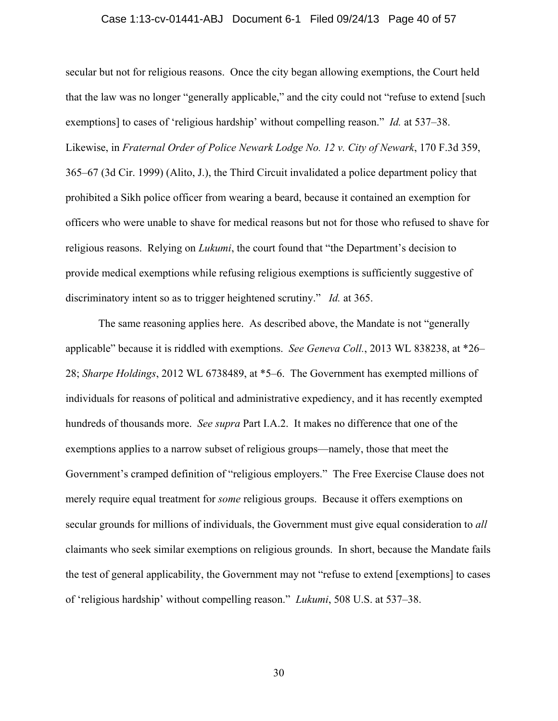### Case 1:13-cv-01441-ABJ Document 6-1 Filed 09/24/13 Page 40 of 57

secular but not for religious reasons. Once the city began allowing exemptions, the Court held that the law was no longer "generally applicable," and the city could not "refuse to extend [such exemptions] to cases of 'religious hardship' without compelling reason." *Id.* at 537–38. Likewise, in *Fraternal Order of Police Newark Lodge No. 12 v. City of Newark*, 170 F.3d 359, 365–67 (3d Cir. 1999) (Alito, J.), the Third Circuit invalidated a police department policy that prohibited a Sikh police officer from wearing a beard, because it contained an exemption for officers who were unable to shave for medical reasons but not for those who refused to shave for religious reasons. Relying on *Lukumi*, the court found that "the Department's decision to provide medical exemptions while refusing religious exemptions is sufficiently suggestive of discriminatory intent so as to trigger heightened scrutiny." *Id.* at 365.

The same reasoning applies here. As described above, the Mandate is not "generally applicable" because it is riddled with exemptions. *See Geneva Coll.*, 2013 WL 838238, at \*26– 28; *Sharpe Holdings*, 2012 WL 6738489, at \*5–6. The Government has exempted millions of individuals for reasons of political and administrative expediency, and it has recently exempted hundreds of thousands more. *See supra* Part I.A.2. It makes no difference that one of the exemptions applies to a narrow subset of religious groups—namely, those that meet the Government's cramped definition of "religious employers." The Free Exercise Clause does not merely require equal treatment for *some* religious groups. Because it offers exemptions on secular grounds for millions of individuals, the Government must give equal consideration to *all* claimants who seek similar exemptions on religious grounds. In short, because the Mandate fails the test of general applicability, the Government may not "refuse to extend [exemptions] to cases of 'religious hardship' without compelling reason." *Lukumi*, 508 U.S. at 537–38.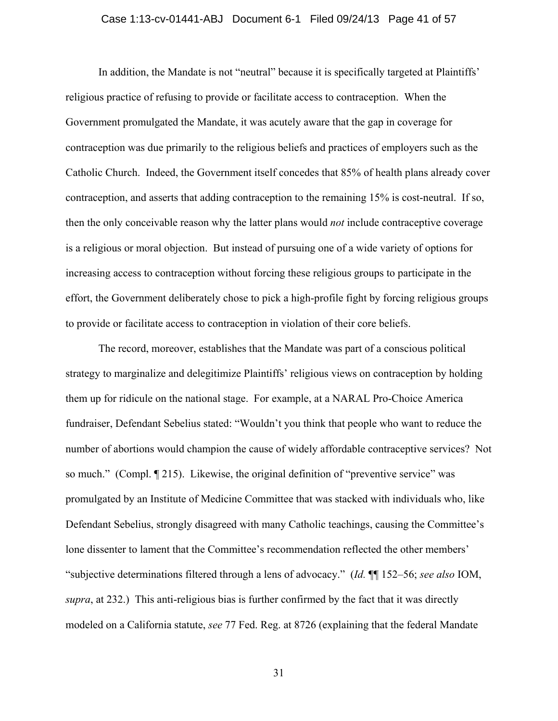## Case 1:13-cv-01441-ABJ Document 6-1 Filed 09/24/13 Page 41 of 57

In addition, the Mandate is not "neutral" because it is specifically targeted at Plaintiffs' religious practice of refusing to provide or facilitate access to contraception. When the Government promulgated the Mandate, it was acutely aware that the gap in coverage for contraception was due primarily to the religious beliefs and practices of employers such as the Catholic Church. Indeed, the Government itself concedes that 85% of health plans already cover contraception, and asserts that adding contraception to the remaining 15% is cost-neutral. If so, then the only conceivable reason why the latter plans would *not* include contraceptive coverage is a religious or moral objection. But instead of pursuing one of a wide variety of options for increasing access to contraception without forcing these religious groups to participate in the effort, the Government deliberately chose to pick a high-profile fight by forcing religious groups to provide or facilitate access to contraception in violation of their core beliefs.

The record, moreover, establishes that the Mandate was part of a conscious political strategy to marginalize and delegitimize Plaintiffs' religious views on contraception by holding them up for ridicule on the national stage. For example, at a NARAL Pro-Choice America fundraiser, Defendant Sebelius stated: "Wouldn't you think that people who want to reduce the number of abortions would champion the cause of widely affordable contraceptive services? Not so much." (Compl. ¶ 215). Likewise, the original definition of "preventive service" was promulgated by an Institute of Medicine Committee that was stacked with individuals who, like Defendant Sebelius, strongly disagreed with many Catholic teachings, causing the Committee's lone dissenter to lament that the Committee's recommendation reflected the other members' "subjective determinations filtered through a lens of advocacy." (*Id.* ¶¶ 152–56; *see also* IOM, *supra*, at 232.)This anti-religious bias is further confirmed by the fact that it was directly modeled on a California statute, *see* 77 Fed. Reg. at 8726 (explaining that the federal Mandate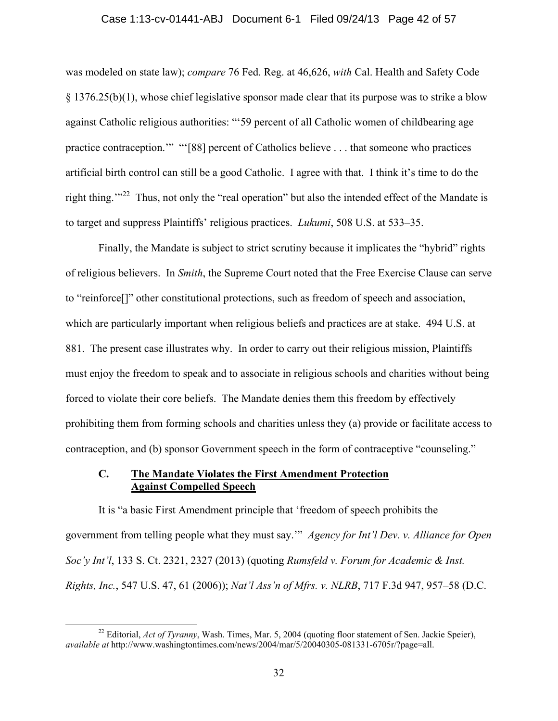## Case 1:13-cv-01441-ABJ Document 6-1 Filed 09/24/13 Page 42 of 57

was modeled on state law); *compare* 76 Fed. Reg. at 46,626, *with* Cal. Health and Safety Code § 1376.25(b)(1), whose chief legislative sponsor made clear that its purpose was to strike a blow against Catholic religious authorities: "'59 percent of all Catholic women of childbearing age practice contraception."" "'[88] percent of Catholics believe . . . that someone who practices artificial birth control can still be a good Catholic. I agree with that. I think it's time to do the right thing."<sup>22</sup> Thus, not only the "real operation" but also the intended effect of the Mandate is to target and suppress Plaintiffs' religious practices. *Lukumi*, 508 U.S. at 533–35.

Finally, the Mandate is subject to strict scrutiny because it implicates the "hybrid" rights of religious believers. In *Smith*, the Supreme Court noted that the Free Exercise Clause can serve to "reinforce[]" other constitutional protections, such as freedom of speech and association, which are particularly important when religious beliefs and practices are at stake. 494 U.S. at 881. The present case illustrates why. In order to carry out their religious mission, Plaintiffs must enjoy the freedom to speak and to associate in religious schools and charities without being forced to violate their core beliefs. The Mandate denies them this freedom by effectively prohibiting them from forming schools and charities unless they (a) provide or facilitate access to contraception, and (b) sponsor Government speech in the form of contraceptive "counseling."

## **C. The Mandate Violates the First Amendment Protection Against Compelled Speech**

It is "a basic First Amendment principle that 'freedom of speech prohibits the government from telling people what they must say.'" *Agency for Int'l Dev. v. Alliance for Open Soc'y Int'l*, 133 S. Ct. 2321, 2327 (2013) (quoting *Rumsfeld v. Forum for Academic & Inst. Rights, Inc.*, 547 U.S. 47, 61 (2006)); *Nat'l Ass'n of Mfrs. v. NLRB*, 717 F.3d 947, 957–58 (D.C.

<sup>&</sup>lt;sup>22</sup> Editorial, *Act of Tyranny*, Wash. Times, Mar. 5, 2004 (quoting floor statement of Sen. Jackie Speier), *available at* http://www.washingtontimes.com/news/2004/mar/5/20040305-081331-6705r/?page=all.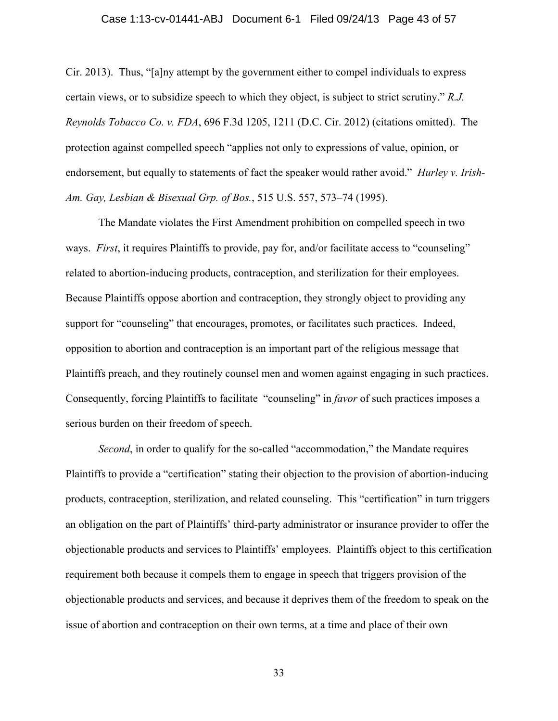### Case 1:13-cv-01441-ABJ Document 6-1 Filed 09/24/13 Page 43 of 57

Cir. 2013). Thus, "[a]ny attempt by the government either to compel individuals to express certain views, or to subsidize speech to which they object, is subject to strict scrutiny." *R.J. Reynolds Tobacco Co. v. FDA*, 696 F.3d 1205, 1211 (D.C. Cir. 2012) (citations omitted). The protection against compelled speech "applies not only to expressions of value, opinion, or endorsement, but equally to statements of fact the speaker would rather avoid." *Hurley v. Irish-Am. Gay, Lesbian & Bisexual Grp. of Bos.*, 515 U.S. 557, 573–74 (1995).

The Mandate violates the First Amendment prohibition on compelled speech in two ways. *First*, it requires Plaintiffs to provide, pay for, and/or facilitate access to "counseling" related to abortion-inducing products, contraception, and sterilization for their employees. Because Plaintiffs oppose abortion and contraception, they strongly object to providing any support for "counseling" that encourages, promotes, or facilitates such practices. Indeed, opposition to abortion and contraception is an important part of the religious message that Plaintiffs preach, and they routinely counsel men and women against engaging in such practices. Consequently, forcing Plaintiffs to facilitate "counseling" in *favor* of such practices imposes a serious burden on their freedom of speech.

*Second*, in order to qualify for the so-called "accommodation," the Mandate requires Plaintiffs to provide a "certification" stating their objection to the provision of abortion-inducing products, contraception, sterilization, and related counseling. This "certification" in turn triggers an obligation on the part of Plaintiffs' third-party administrator or insurance provider to offer the objectionable products and services to Plaintiffs' employees. Plaintiffs object to this certification requirement both because it compels them to engage in speech that triggers provision of the objectionable products and services, and because it deprives them of the freedom to speak on the issue of abortion and contraception on their own terms, at a time and place of their own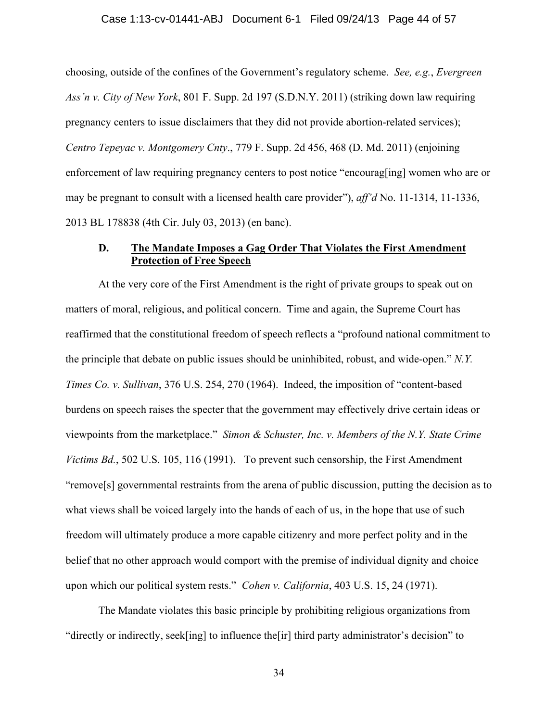#### Case 1:13-cv-01441-ABJ Document 6-1 Filed 09/24/13 Page 44 of 57

choosing, outside of the confines of the Government's regulatory scheme. *See, e.g.*, *Evergreen Ass'n v. City of New York*, 801 F. Supp. 2d 197 (S.D.N.Y. 2011) (striking down law requiring pregnancy centers to issue disclaimers that they did not provide abortion-related services); *Centro Tepeyac v. Montgomery Cnty*., 779 F. Supp. 2d 456, 468 (D. Md. 2011) (enjoining enforcement of law requiring pregnancy centers to post notice "encourag[ing] women who are or may be pregnant to consult with a licensed health care provider"), *aff'd* No. 11-1314, 11-1336, 2013 BL 178838 (4th Cir. July 03, 2013) (en banc).

## **D. The Mandate Imposes a Gag Order That Violates the First Amendment Protection of Free Speech**

At the very core of the First Amendment is the right of private groups to speak out on matters of moral, religious, and political concern. Time and again, the Supreme Court has reaffirmed that the constitutional freedom of speech reflects a "profound national commitment to the principle that debate on public issues should be uninhibited, robust, and wide-open." *N.Y. Times Co. v. Sullivan*, 376 U.S. 254, 270 (1964). Indeed, the imposition of "content-based burdens on speech raises the specter that the government may effectively drive certain ideas or viewpoints from the marketplace." *Simon & Schuster, Inc. v. Members of the N.Y. State Crime Victims Bd.*, 502 U.S. 105, 116 (1991). To prevent such censorship, the First Amendment "remove[s] governmental restraints from the arena of public discussion, putting the decision as to what views shall be voiced largely into the hands of each of us, in the hope that use of such freedom will ultimately produce a more capable citizenry and more perfect polity and in the belief that no other approach would comport with the premise of individual dignity and choice upon which our political system rests." *Cohen v. California*, 403 U.S. 15, 24 (1971).

The Mandate violates this basic principle by prohibiting religious organizations from "directly or indirectly, seek[ing] to influence the[ir] third party administrator's decision" to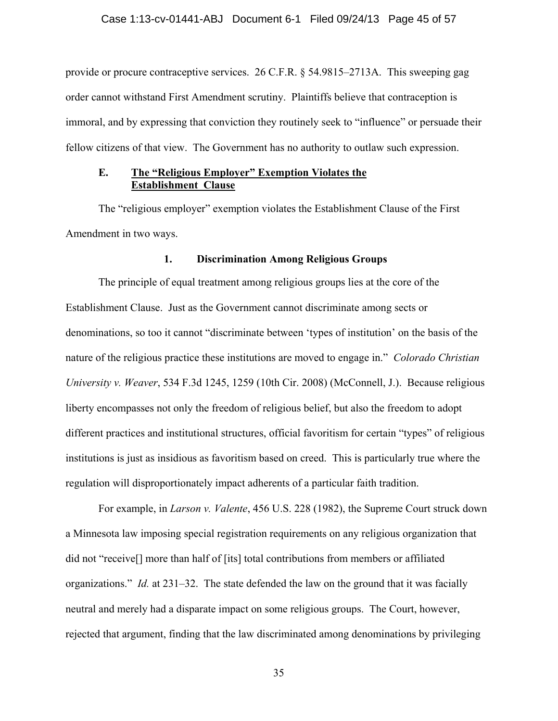provide or procure contraceptive services. 26 C.F.R. § 54.9815–2713A. This sweeping gag order cannot withstand First Amendment scrutiny. Plaintiffs believe that contraception is immoral, and by expressing that conviction they routinely seek to "influence" or persuade their fellow citizens of that view. The Government has no authority to outlaw such expression.

## **E. The "Religious Employer" Exemption Violates the Establishment Clause**

The "religious employer" exemption violates the Establishment Clause of the First Amendment in two ways.

## **1. Discrimination Among Religious Groups**

The principle of equal treatment among religious groups lies at the core of the Establishment Clause. Just as the Government cannot discriminate among sects or denominations, so too it cannot "discriminate between 'types of institution' on the basis of the nature of the religious practice these institutions are moved to engage in." *Colorado Christian University v. Weaver*, 534 F.3d 1245, 1259 (10th Cir. 2008) (McConnell, J.). Because religious liberty encompasses not only the freedom of religious belief, but also the freedom to adopt different practices and institutional structures, official favoritism for certain "types" of religious institutions is just as insidious as favoritism based on creed. This is particularly true where the regulation will disproportionately impact adherents of a particular faith tradition.

For example, in *Larson v. Valente*, 456 U.S. 228 (1982), the Supreme Court struck down a Minnesota law imposing special registration requirements on any religious organization that did not "receive[] more than half of [its] total contributions from members or affiliated organizations." *Id.* at 231–32. The state defended the law on the ground that it was facially neutral and merely had a disparate impact on some religious groups. The Court, however, rejected that argument, finding that the law discriminated among denominations by privileging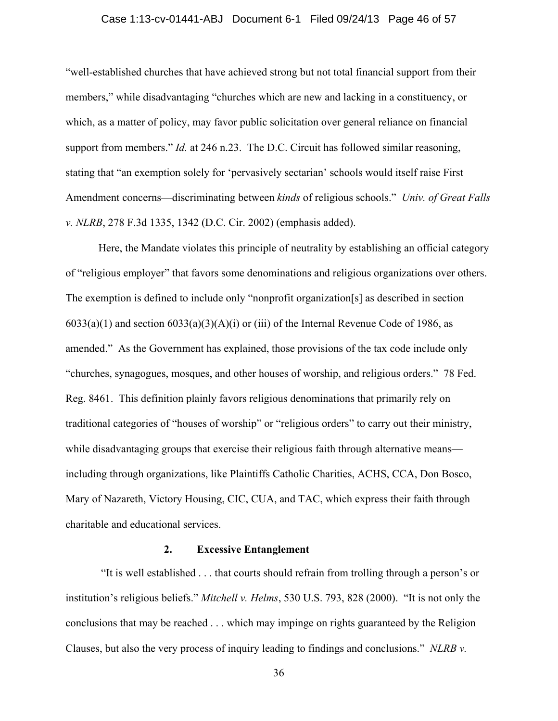## Case 1:13-cv-01441-ABJ Document 6-1 Filed 09/24/13 Page 46 of 57

"well-established churches that have achieved strong but not total financial support from their members," while disadvantaging "churches which are new and lacking in a constituency, or which, as a matter of policy, may favor public solicitation over general reliance on financial support from members." *Id.* at 246 n.23. The D.C. Circuit has followed similar reasoning, stating that "an exemption solely for 'pervasively sectarian' schools would itself raise First Amendment concerns—discriminating between *kinds* of religious schools." *Univ. of Great Falls v. NLRB*, 278 F.3d 1335, 1342 (D.C. Cir. 2002) (emphasis added).

Here, the Mandate violates this principle of neutrality by establishing an official category of "religious employer" that favors some denominations and religious organizations over others. The exemption is defined to include only "nonprofit organization[s] as described in section  $6033(a)(1)$  and section  $6033(a)(3)(A)(i)$  or (iii) of the Internal Revenue Code of 1986, as amended." As the Government has explained, those provisions of the tax code include only "churches, synagogues, mosques, and other houses of worship, and religious orders." 78 Fed. Reg. 8461. This definition plainly favors religious denominations that primarily rely on traditional categories of "houses of worship" or "religious orders" to carry out their ministry, while disadvantaging groups that exercise their religious faith through alternative means including through organizations, like Plaintiffs Catholic Charities, ACHS, CCA, Don Bosco, Mary of Nazareth, Victory Housing, CIC, CUA, and TAC, which express their faith through charitable and educational services.

## **2. Excessive Entanglement**

"It is well established . . . that courts should refrain from trolling through a person's or institution's religious beliefs." *Mitchell v. Helms*, 530 U.S. 793, 828 (2000). "It is not only the conclusions that may be reached . . . which may impinge on rights guaranteed by the Religion Clauses, but also the very process of inquiry leading to findings and conclusions." *NLRB v.*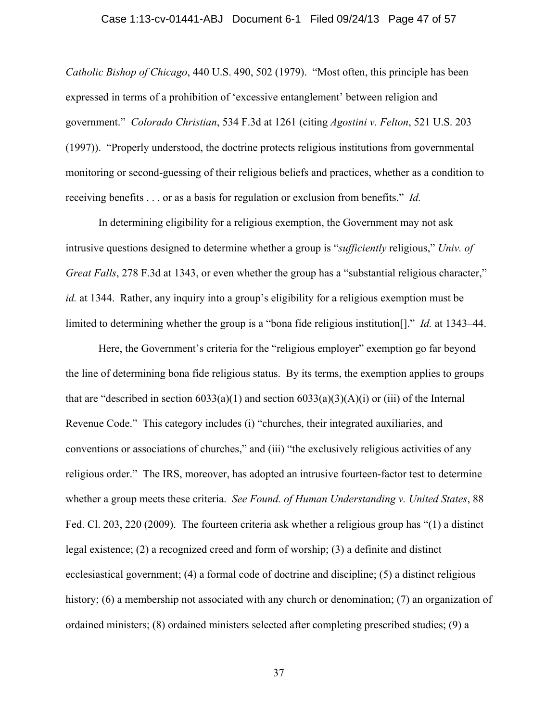## Case 1:13-cv-01441-ABJ Document 6-1 Filed 09/24/13 Page 47 of 57

*Catholic Bishop of Chicago*, 440 U.S. 490, 502 (1979). "Most often, this principle has been expressed in terms of a prohibition of 'excessive entanglement' between religion and government." *Colorado Christian*, 534 F.3d at 1261 (citing *Agostini v. Felton*, 521 U.S. 203 (1997)). "Properly understood, the doctrine protects religious institutions from governmental monitoring or second-guessing of their religious beliefs and practices, whether as a condition to receiving benefits . . . or as a basis for regulation or exclusion from benefits." *Id.*

In determining eligibility for a religious exemption, the Government may not ask intrusive questions designed to determine whether a group is "*sufficiently* religious," *Univ. of Great Falls*, 278 F.3d at 1343, or even whether the group has a "substantial religious character," *id.* at 1344. Rather, any inquiry into a group's eligibility for a religious exemption must be limited to determining whether the group is a "bona fide religious institution[]." *Id.* at 1343–44.

Here, the Government's criteria for the "religious employer" exemption go far beyond the line of determining bona fide religious status. By its terms, the exemption applies to groups that are "described in section  $6033(a)(1)$  and section  $6033(a)(3)(A)(i)$  or (iii) of the Internal Revenue Code." This category includes (i) "churches, their integrated auxiliaries, and conventions or associations of churches," and (iii) "the exclusively religious activities of any religious order." The IRS, moreover, has adopted an intrusive fourteen-factor test to determine whether a group meets these criteria. *See Found. of Human Understanding v. United States*, 88 Fed. Cl. 203, 220 (2009). The fourteen criteria ask whether a religious group has "(1) a distinct legal existence; (2) a recognized creed and form of worship; (3) a definite and distinct ecclesiastical government; (4) a formal code of doctrine and discipline; (5) a distinct religious history; (6) a membership not associated with any church or denomination; (7) an organization of ordained ministers; (8) ordained ministers selected after completing prescribed studies; (9) a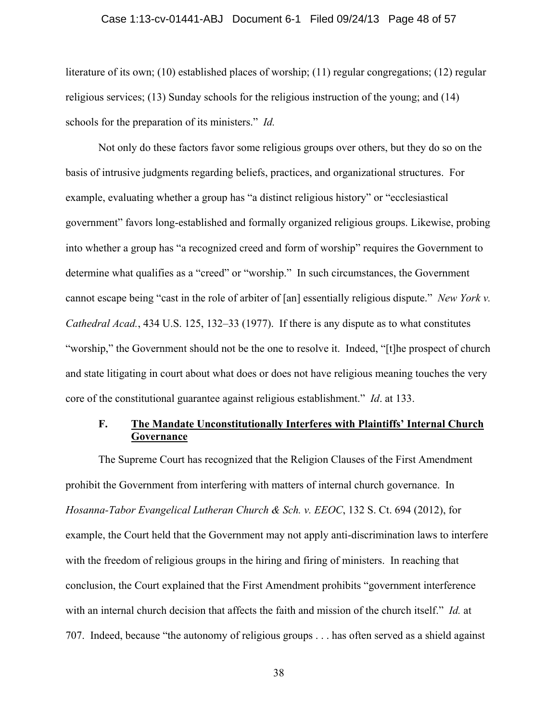## Case 1:13-cv-01441-ABJ Document 6-1 Filed 09/24/13 Page 48 of 57

literature of its own; (10) established places of worship; (11) regular congregations; (12) regular religious services; (13) Sunday schools for the religious instruction of the young; and (14) schools for the preparation of its ministers." *Id.*

Not only do these factors favor some religious groups over others, but they do so on the basis of intrusive judgments regarding beliefs, practices, and organizational structures. For example, evaluating whether a group has "a distinct religious history" or "ecclesiastical government" favors long-established and formally organized religious groups. Likewise, probing into whether a group has "a recognized creed and form of worship" requires the Government to determine what qualifies as a "creed" or "worship." In such circumstances, the Government cannot escape being "cast in the role of arbiter of [an] essentially religious dispute." *New York v. Cathedral Acad.*, 434 U.S. 125, 132–33 (1977). If there is any dispute as to what constitutes "worship," the Government should not be the one to resolve it. Indeed, "[t]he prospect of church and state litigating in court about what does or does not have religious meaning touches the very core of the constitutional guarantee against religious establishment." *Id*. at 133.

## **F. The Mandate Unconstitutionally Interferes with Plaintiffs' Internal Church Governance**

 The Supreme Court has recognized that the Religion Clauses of the First Amendment prohibit the Government from interfering with matters of internal church governance. In *Hosanna-Tabor Evangelical Lutheran Church & Sch. v. EEOC*, 132 S. Ct. 694 (2012), for example, the Court held that the Government may not apply anti-discrimination laws to interfere with the freedom of religious groups in the hiring and firing of ministers. In reaching that conclusion, the Court explained that the First Amendment prohibits "government interference with an internal church decision that affects the faith and mission of the church itself." *Id.* at 707. Indeed, because "the autonomy of religious groups . . . has often served as a shield against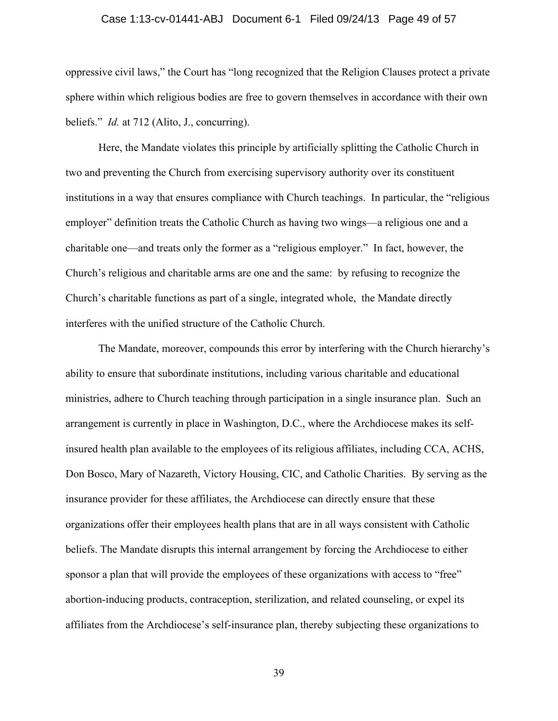#### Case 1:13-cv-01441-ABJ Document 6-1 Filed 09/24/13 Page 49 of 57

oppressive civil laws," the Court has "long recognized that the Religion Clauses protect a private sphere within which religious bodies are free to govern themselves in accordance with their own beliefs." *Id.* at 712 (Alito, J., concurring).

Here, the Mandate violates this principle by artificially splitting the Catholic Church in two and preventing the Church from exercising supervisory authority over its constituent institutions in a way that ensures compliance with Church teachings. In particular, the "religious employer" definition treats the Catholic Church as having two wings—a religious one and a charitable one—and treats only the former as a "religious employer." In fact, however, the Church's religious and charitable arms are one and the same: by refusing to recognize the Church's charitable functions as part of a single, integrated whole, the Mandate directly interferes with the unified structure of the Catholic Church.

 The Mandate, moreover, compounds this error by interfering with the Church hierarchy's ability to ensure that subordinate institutions, including various charitable and educational ministries, adhere to Church teaching through participation in a single insurance plan. Such an arrangement is currently in place in Washington, D.C., where the Archdiocese makes its selfinsured health plan available to the employees of its religious affiliates, including CCA, ACHS, Don Bosco, Mary of Nazareth, Victory Housing, CIC, and Catholic Charities. By serving as the insurance provider for these affiliates, the Archdiocese can directly ensure that these organizations offer their employees health plans that are in all ways consistent with Catholic beliefs. The Mandate disrupts this internal arrangement by forcing the Archdiocese to either sponsor a plan that will provide the employees of these organizations with access to "free" abortion-inducing products, contraception, sterilization, and related counseling, or expel its affiliates from the Archdiocese's self-insurance plan, thereby subjecting these organizations to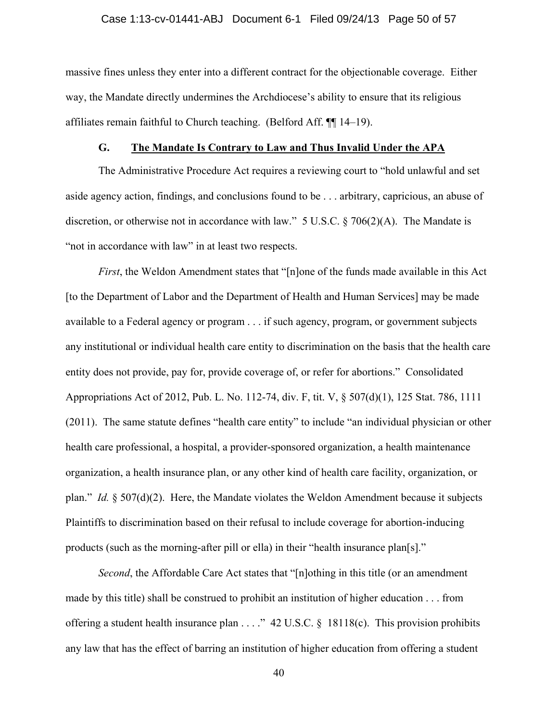#### Case 1:13-cv-01441-ABJ Document 6-1 Filed 09/24/13 Page 50 of 57

massive fines unless they enter into a different contract for the objectionable coverage. Either way, the Mandate directly undermines the Archdiocese's ability to ensure that its religious affiliates remain faithful to Church teaching. (Belford Aff. ¶¶ 14–19).

## **G. The Mandate Is Contrary to Law and Thus Invalid Under the APA**

The Administrative Procedure Act requires a reviewing court to "hold unlawful and set aside agency action, findings, and conclusions found to be . . . arbitrary, capricious, an abuse of discretion, or otherwise not in accordance with law." 5 U.S.C. § 706(2)(A). The Mandate is "not in accordance with law" in at least two respects.

*First*, the Weldon Amendment states that "[n]one of the funds made available in this Act [to the Department of Labor and the Department of Health and Human Services] may be made available to a Federal agency or program . . . if such agency, program, or government subjects any institutional or individual health care entity to discrimination on the basis that the health care entity does not provide, pay for, provide coverage of, or refer for abortions." Consolidated Appropriations Act of 2012, Pub. L. No. 112-74, div. F, tit. V, § 507(d)(1), 125 Stat. 786, 1111 (2011). The same statute defines "health care entity" to include "an individual physician or other health care professional, a hospital, a provider-sponsored organization, a health maintenance organization, a health insurance plan, or any other kind of health care facility, organization, or plan." *Id.* § 507(d)(2). Here, the Mandate violates the Weldon Amendment because it subjects Plaintiffs to discrimination based on their refusal to include coverage for abortion-inducing products (such as the morning-after pill or ella) in their "health insurance plan[s]."

*Second*, the Affordable Care Act states that "[n]othing in this title (or an amendment made by this title) shall be construed to prohibit an institution of higher education . . . from offering a student health insurance plan . . . ." 42 U.S.C. § 18118(c). This provision prohibits any law that has the effect of barring an institution of higher education from offering a student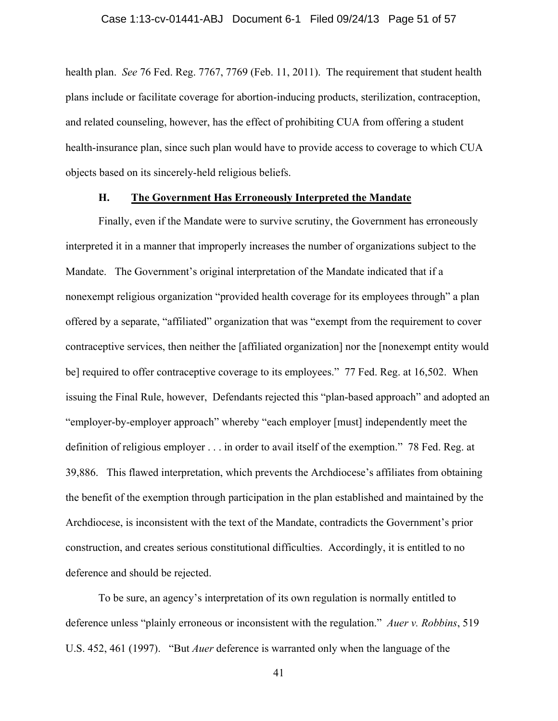health plan. *See* 76 Fed. Reg. 7767, 7769 (Feb. 11, 2011). The requirement that student health plans include or facilitate coverage for abortion-inducing products, sterilization, contraception, and related counseling, however, has the effect of prohibiting CUA from offering a student health-insurance plan, since such plan would have to provide access to coverage to which CUA objects based on its sincerely-held religious beliefs.

## **H. The Government Has Erroneously Interpreted the Mandate**

Finally, even if the Mandate were to survive scrutiny, the Government has erroneously interpreted it in a manner that improperly increases the number of organizations subject to the Mandate. The Government's original interpretation of the Mandate indicated that if a nonexempt religious organization "provided health coverage for its employees through" a plan offered by a separate, "affiliated" organization that was "exempt from the requirement to cover contraceptive services, then neither the [affiliated organization] nor the [nonexempt entity would be] required to offer contraceptive coverage to its employees." 77 Fed. Reg. at 16,502. When issuing the Final Rule, however, Defendants rejected this "plan-based approach" and adopted an "employer-by-employer approach" whereby "each employer [must] independently meet the definition of religious employer . . . in order to avail itself of the exemption." 78 Fed. Reg. at 39,886. This flawed interpretation, which prevents the Archdiocese's affiliates from obtaining the benefit of the exemption through participation in the plan established and maintained by the Archdiocese, is inconsistent with the text of the Mandate, contradicts the Government's prior construction, and creates serious constitutional difficulties. Accordingly, it is entitled to no deference and should be rejected.

To be sure, an agency's interpretation of its own regulation is normally entitled to deference unless "plainly erroneous or inconsistent with the regulation." *Auer v. Robbins*, 519 U.S. 452, 461 (1997). "But *Auer* deference is warranted only when the language of the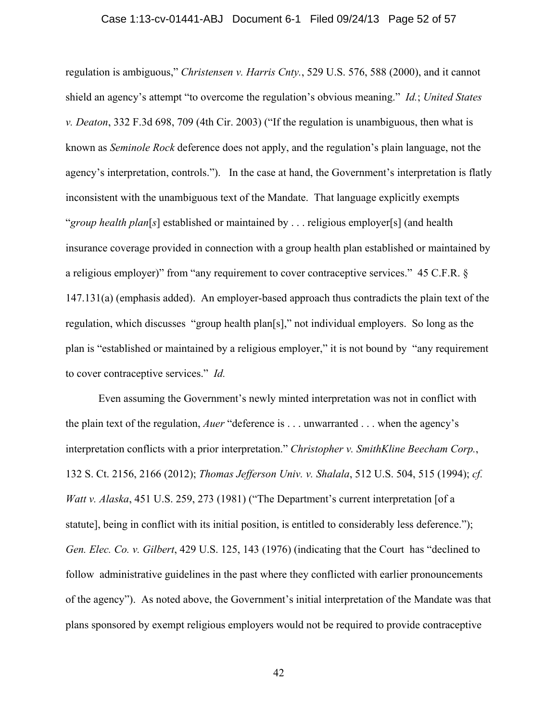## Case 1:13-cv-01441-ABJ Document 6-1 Filed 09/24/13 Page 52 of 57

regulation is ambiguous," *Christensen v. Harris Cnty.*, 529 U.S. 576, 588 (2000), and it cannot shield an agency's attempt "to overcome the regulation's obvious meaning." *Id.*; *United States v. Deaton*, 332 F.3d 698, 709 (4th Cir. 2003) ("If the regulation is unambiguous, then what is known as *Seminole Rock* deference does not apply, and the regulation's plain language, not the agency's interpretation, controls."). In the case at hand, the Government's interpretation is flatly inconsistent with the unambiguous text of the Mandate. That language explicitly exempts "*group health plan*[*s*] established or maintained by . . . religious employer[s] (and health insurance coverage provided in connection with a group health plan established or maintained by a religious employer)" from "any requirement to cover contraceptive services." 45 C.F.R. § 147.131(a) (emphasis added). An employer-based approach thus contradicts the plain text of the regulation, which discusses "group health plan[s]," not individual employers. So long as the plan is "established or maintained by a religious employer," it is not bound by "any requirement to cover contraceptive services." *Id.*

Even assuming the Government's newly minted interpretation was not in conflict with the plain text of the regulation, *Auer* "deference is . . . unwarranted . . . when the agency's interpretation conflicts with a prior interpretation." *Christopher v. SmithKline Beecham Corp.*, 132 S. Ct. 2156, 2166 (2012); *Thomas Jefferson Univ. v. Shalala*, 512 U.S. 504, 515 (1994); *cf. Watt v. Alaska*, 451 U.S. 259, 273 (1981) ("The Department's current interpretation [of a statute], being in conflict with its initial position, is entitled to considerably less deference."); *Gen. Elec. Co. v. Gilbert*, 429 U.S. 125, 143 (1976) (indicating that the Court has "declined to follow administrative guidelines in the past where they conflicted with earlier pronouncements of the agency"). As noted above, the Government's initial interpretation of the Mandate was that plans sponsored by exempt religious employers would not be required to provide contraceptive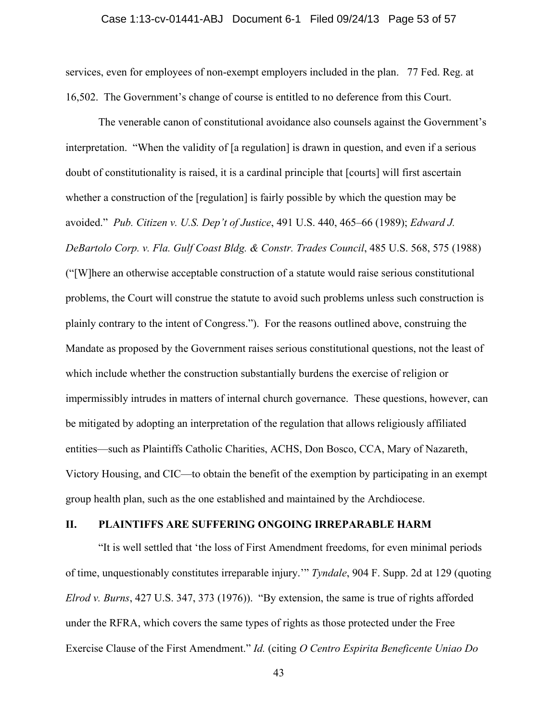services, even for employees of non-exempt employers included in the plan. 77 Fed. Reg. at 16,502. The Government's change of course is entitled to no deference from this Court.

The venerable canon of constitutional avoidance also counsels against the Government's interpretation. "When the validity of [a regulation] is drawn in question, and even if a serious doubt of constitutionality is raised, it is a cardinal principle that [courts] will first ascertain whether a construction of the [regulation] is fairly possible by which the question may be avoided." *Pub. Citizen v. U.S. Dep't of Justice*, 491 U.S. 440, 465–66 (1989); *Edward J. DeBartolo Corp. v. Fla. Gulf Coast Bldg. & Constr. Trades Council*, 485 U.S. 568, 575 (1988) ("[W]here an otherwise acceptable construction of a statute would raise serious constitutional problems, the Court will construe the statute to avoid such problems unless such construction is plainly contrary to the intent of Congress."). For the reasons outlined above, construing the Mandate as proposed by the Government raises serious constitutional questions, not the least of which include whether the construction substantially burdens the exercise of religion or impermissibly intrudes in matters of internal church governance. These questions, however, can be mitigated by adopting an interpretation of the regulation that allows religiously affiliated entities—such as Plaintiffs Catholic Charities, ACHS, Don Bosco, CCA, Mary of Nazareth, Victory Housing, and CIC—to obtain the benefit of the exemption by participating in an exempt group health plan, such as the one established and maintained by the Archdiocese.

## **II. PLAINTIFFS ARE SUFFERING ONGOING IRREPARABLE HARM**

"It is well settled that 'the loss of First Amendment freedoms, for even minimal periods of time, unquestionably constitutes irreparable injury.'" *Tyndale*, 904 F. Supp. 2d at 129 (quoting *Elrod v. Burns*, 427 U.S. 347, 373 (1976)). "By extension, the same is true of rights afforded under the RFRA, which covers the same types of rights as those protected under the Free Exercise Clause of the First Amendment." *Id.* (citing *O Centro Espirita Beneficente Uniao Do*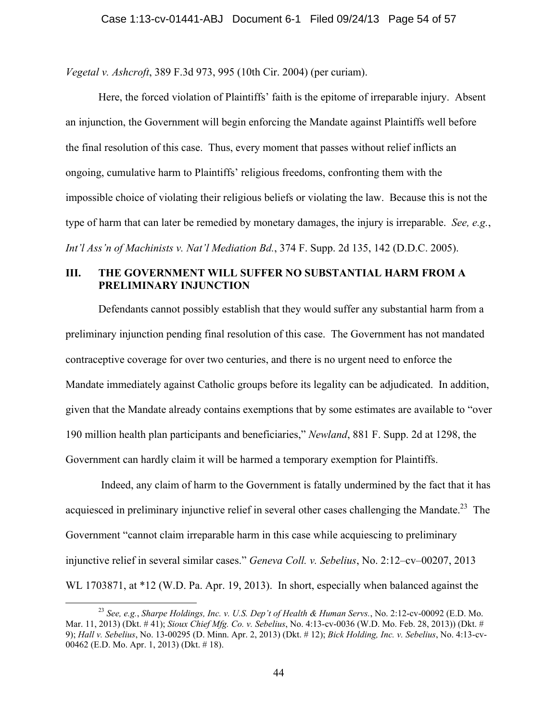*Vegetal v. Ashcroft*, 389 F.3d 973, 995 (10th Cir. 2004) (per curiam).

Here, the forced violation of Plaintiffs' faith is the epitome of irreparable injury. Absent an injunction, the Government will begin enforcing the Mandate against Plaintiffs well before the final resolution of this case. Thus, every moment that passes without relief inflicts an ongoing, cumulative harm to Plaintiffs' religious freedoms, confronting them with the impossible choice of violating their religious beliefs or violating the law. Because this is not the type of harm that can later be remedied by monetary damages, the injury is irreparable. *See, e.g.*, *Int'l Ass'n of Machinists v. Nat'l Mediation Bd.*, 374 F. Supp. 2d 135, 142 (D.D.C. 2005).

## **III. THE GOVERNMENT WILL SUFFER NO SUBSTANTIAL HARM FROM A PRELIMINARY INJUNCTION**

Defendants cannot possibly establish that they would suffer any substantial harm from a preliminary injunction pending final resolution of this case. The Government has not mandated contraceptive coverage for over two centuries, and there is no urgent need to enforce the Mandate immediately against Catholic groups before its legality can be adjudicated. In addition, given that the Mandate already contains exemptions that by some estimates are available to "over 190 million health plan participants and beneficiaries," *Newland*, 881 F. Supp. 2d at 1298, the Government can hardly claim it will be harmed a temporary exemption for Plaintiffs.

 Indeed, any claim of harm to the Government is fatally undermined by the fact that it has acquiesced in preliminary injunctive relief in several other cases challenging the Mandate.<sup>23</sup> The Government "cannot claim irreparable harm in this case while acquiescing to preliminary injunctive relief in several similar cases." *Geneva Coll. v. Sebelius*, No. 2:12–cv–00207, 2013 WL 1703871, at \*12 (W.D. Pa. Apr. 19, 2013). In short, especially when balanced against the

 <sup>23</sup> *See, e.g.*, *Sharpe Holdings, Inc. v. U.S. Dep't of Health & Human Servs.*, No. 2:12-cv-00092 (E.D. Mo. Mar. 11, 2013) (Dkt. # 41); *Sioux Chief Mfg. Co. v. Sebelius*, No. 4:13-cv-0036 (W.D. Mo. Feb. 28, 2013)) (Dkt. # 9); *Hall v. Sebelius*, No. 13-00295 (D. Minn. Apr. 2, 2013) (Dkt. # 12); *Bick Holding, Inc. v. Sebelius*, No. 4:13-cv-00462 (E.D. Mo. Apr. 1, 2013) (Dkt. # 18).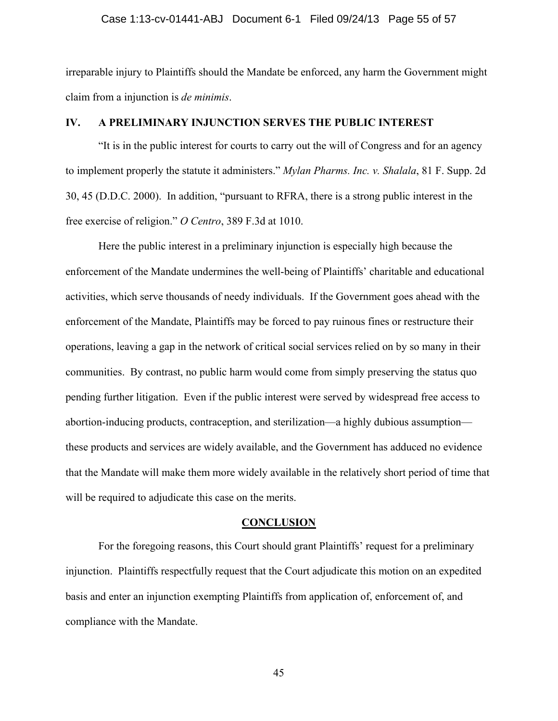#### Case 1:13-cv-01441-ABJ Document 6-1 Filed 09/24/13 Page 55 of 57

irreparable injury to Plaintiffs should the Mandate be enforced, any harm the Government might claim from a injunction is *de minimis*.

## **IV. A PRELIMINARY INJUNCTION SERVES THE PUBLIC INTEREST**

"It is in the public interest for courts to carry out the will of Congress and for an agency to implement properly the statute it administers." *Mylan Pharms. Inc. v. Shalala*, 81 F. Supp. 2d 30, 45 (D.D.C. 2000). In addition, "pursuant to RFRA, there is a strong public interest in the free exercise of religion." *O Centro*, 389 F.3d at 1010.

Here the public interest in a preliminary injunction is especially high because the enforcement of the Mandate undermines the well-being of Plaintiffs' charitable and educational activities, which serve thousands of needy individuals. If the Government goes ahead with the enforcement of the Mandate, Plaintiffs may be forced to pay ruinous fines or restructure their operations, leaving a gap in the network of critical social services relied on by so many in their communities. By contrast, no public harm would come from simply preserving the status quo pending further litigation. Even if the public interest were served by widespread free access to abortion-inducing products, contraception, and sterilization—a highly dubious assumption these products and services are widely available, and the Government has adduced no evidence that the Mandate will make them more widely available in the relatively short period of time that will be required to adjudicate this case on the merits.

## **CONCLUSION**

For the foregoing reasons, this Court should grant Plaintiffs' request for a preliminary injunction. Plaintiffs respectfully request that the Court adjudicate this motion on an expedited basis and enter an injunction exempting Plaintiffs from application of, enforcement of, and compliance with the Mandate.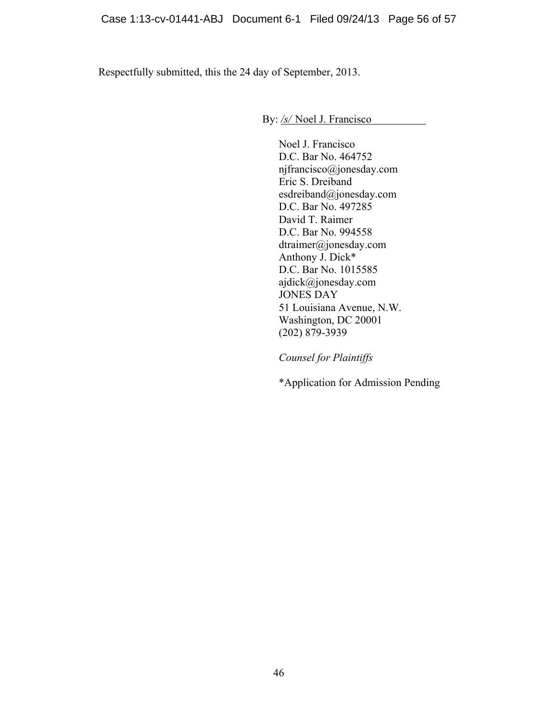Respectfully submitted, this the 24 day of September, 2013.

By: */s/* Noel J. Francisco

Noel J. Francisco D.C. Bar No. 464752 njfrancisco@jonesday.com Eric S. Dreiband esdreiband@jonesday.com D.C. Bar No. 497285 David T. Raimer D.C. Bar No. 994558 dtraimer@jonesday.com Anthony J. Dick\* D.C. Bar No. 1015585 ajdick@jonesday.com JONES DAY 51 Louisiana Avenue, N.W. Washington, DC 20001 (202) 879-3939

*Counsel for Plaintiffs* 

\*Application for Admission Pending